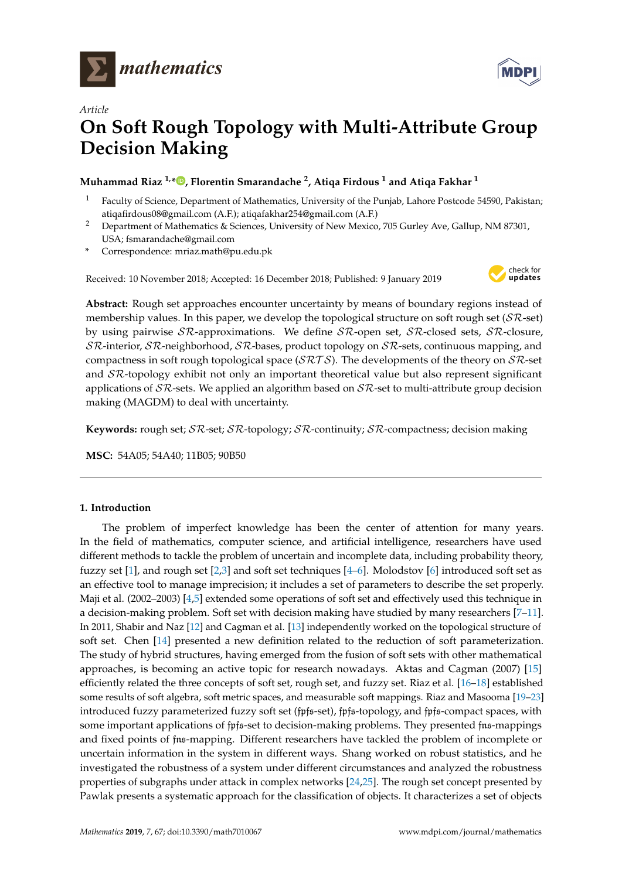



# *Article* **On Soft Rough Topology with Multi-Attribute Group Decision Making**

# **Muhammad Riaz 1,[\\*](https://orcid.org/0000-0001-8115-9168) , Florentin Smarandache <sup>2</sup> , Atiqa Firdous <sup>1</sup> and Atiqa Fakhar <sup>1</sup>**

- <sup>1</sup> Faculty of Science, Department of Mathematics, University of the Punjab, Lahore Postcode 54590, Pakistan; atiqafirdous08@gmail.com (A.F.); atiqafakhar254@gmail.com (A.F.)
- <sup>2</sup> Department of Mathematics & Sciences, University of New Mexico, 705 Gurley Ave, Gallup, NM 87301, USA; fsmarandache@gmail.com
- **\*** Correspondence: mriaz.math@pu.edu.pk

Received: 10 November 2018; Accepted: 16 December 2018; Published: 9 January 2019



**Abstract:** Rough set approaches encounter uncertainty by means of boundary regions instead of membership values. In this paper, we develop the topological structure on soft rough set ( $S\mathcal{R}$ -set) by using pairwise  $S\mathcal{R}$ -approximations. We define  $S\mathcal{R}$ -open set,  $S\mathcal{R}$ -closed sets,  $S\mathcal{R}$ -closure,  $SR$ -interior,  $SR$ -neighborhood,  $SR$ -bases, product topology on  $SR$ -sets, continuous mapping, and compactness in soft rough topological space ( $\mathcal{SRTS}$ ). The developments of the theory on  $\mathcal{S}R$ -set and  $\delta \mathcal{R}$ -topology exhibit not only an important theoretical value but also represent significant applications of  $S\mathcal{R}$ -sets. We applied an algorithm based on  $S\mathcal{R}$ -set to multi-attribute group decision making (MAGDM) to deal with uncertainty.

**Keywords:** rough set; SR-set; SR-topology; SR-continuity; SR-compactness; decision making

**MSC:** 54A05; 54A40; 11B05; 90B50

# **1. Introduction**

The problem of imperfect knowledge has been the center of attention for many years. In the field of mathematics, computer science, and artificial intelligence, researchers have used different methods to tackle the problem of uncertain and incomplete data, including probability theory, fuzzy set [\[1\]](#page-15-0), and rough set [\[2](#page-15-1)[,3\]](#page-15-2) and soft set techniques [\[4](#page-15-3)[–6\]](#page-15-4). Molodstov [\[6\]](#page-15-4) introduced soft set as an effective tool to manage imprecision; it includes a set of parameters to describe the set properly. Maji et al. (2002–2003) [\[4](#page-15-3)[,5\]](#page-15-5) extended some operations of soft set and effectively used this technique in a decision-making problem. Soft set with decision making have studied by many researchers [\[7–](#page-15-6)[11\]](#page-16-0). In 2011, Shabir and Naz [\[12\]](#page-16-1) and Cagman et al. [\[13\]](#page-16-2) independently worked on the topological structure of soft set. Chen [\[14\]](#page-16-3) presented a new definition related to the reduction of soft parameterization. The study of hybrid structures, having emerged from the fusion of soft sets with other mathematical approaches, is becoming an active topic for research nowadays. Aktas and Cagman (2007) [\[15\]](#page-16-4) efficiently related the three concepts of soft set, rough set, and fuzzy set. Riaz et al. [\[16–](#page-16-5)[18\]](#page-16-6) established some results of soft algebra, soft metric spaces, and measurable soft mappings. Riaz and Masooma [\[19–](#page-16-7)[23\]](#page-16-8) introduced fuzzy parameterized fuzzy soft set (fpfs-set), fpfs-topology, and fpfs-compact spaces, with some important applications of fpfs-set to decision-making problems. They presented fns-mappings and fixed points of fns-mapping. Different researchers have tackled the problem of incomplete or uncertain information in the system in different ways. Shang worked on robust statistics, and he investigated the robustness of a system under different circumstances and analyzed the robustness properties of subgraphs under attack in complex networks [\[24,](#page-16-9)[25\]](#page-16-10). The rough set concept presented by Pawlak presents a systematic approach for the classification of objects. It characterizes a set of objects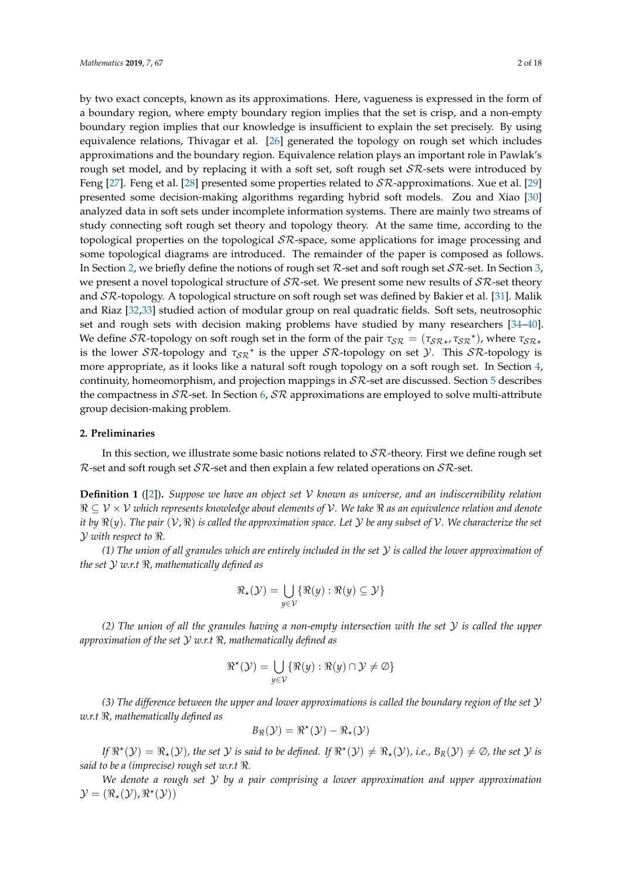by two exact concepts, known as its approximations. Here, vagueness is expressed in the form of a boundary region, where empty boundary region implies that the set is crisp, and a non-empty boundary region implies that our knowledge is insufficient to explain the set precisely. By using equivalence relations, Thivagar et al. [\[26\]](#page-16-11) generated the topology on rough set which includes approximations and the boundary region. Equivalence relation plays an important role in Pawlak's rough set model, and by replacing it with a soft set, soft rough set  $\mathcal{SR}\text{-sets}$  were introduced by Feng [\[27\]](#page-16-12). Feng et al. [\[28\]](#page-16-13) presented some properties related to  $\mathcal{SR}$ -approximations. Xue et al. [\[29\]](#page-16-14) presented some decision-making algorithms regarding hybrid soft models. Zou and Xiao [\[30\]](#page-16-15) analyzed data in soft sets under incomplete information systems. There are mainly two streams of study connecting soft rough set theory and topology theory. At the same time, according to the topological properties on the topological  $\mathcal{SR}$ -space, some applications for image processing and some topological diagrams are introduced. The remainder of the paper is composed as follows. In Section [2,](#page-1-0) we briefly define the notions of rough set  $R$ -set and soft rough set  $SR$ -set. In Section [3,](#page-3-0) we present a novel topological structure of  $S\mathcal{R}$ -set. We present some new results of  $S\mathcal{R}$ -set theory and SR-topology. A topological structure on soft rough set was defined by Bakier et al. [\[31\]](#page-16-16). Malik and Riaz [\[32,](#page-16-17)[33\]](#page-16-18) studied action of modular group on real quadratic fields. Soft sets, neutrosophic set and rough sets with decision making problems have studied by many researchers [\[34–](#page-16-19)[40\]](#page-17-0). We define  $S\mathcal{R}$ -topology on soft rough set in the form of the pair  $\tau_{S\mathcal{R}} = (\tau_{S\mathcal{R}*}, \tau_{S\mathcal{R}}^*)$ , where  $\tau_{S\mathcal{R}*}$ is the lower  $\mathcal{SR}$ -topology and  $\tau_{\mathcal{SR}}^*$  is the upper  $\mathcal{SR}$ -topology on set  $\mathcal{Y}$ . This  $\mathcal{SR}$ -topology is more appropriate, as it looks like a natural soft rough topology on a soft rough set. In Section [4,](#page-6-0) continuity, homeomorphism, and projection mappings in  $\mathcal{SR}$ -set are discussed. Section [5](#page-9-0) describes the compactness in  $\mathcal{SR}\text{-set}$ . In Section [6,](#page-10-0)  $\mathcal{SR}$  approximations are employed to solve multi-attribute group decision-making problem.

#### <span id="page-1-0"></span>**2. Preliminaries**

In this section, we illustrate some basic notions related to  $S\mathcal{R}$ -theory. First we define rough set R-set and soft rough set  $\mathcal{SR}$ -set and then explain a few related operations on  $\mathcal{SR}$ -set.

**Definition 1** ([\[2\]](#page-15-1))**.** *Suppose we have an object set* V *known as universe, and an indiscernibility relation*  $\Re \subseteq V \times V$  which represents knowledge about elements of V. We take  $\Re$  as an equivalence relation and denote *it by*  $\Re(y)$ . The pair  $(\mathcal{V}, \Re)$  is called the approximation space. Let  $\mathcal Y$  be any subset of  $\mathcal V$ . We characterize the set Y *with respect to* <*.*

*(1) The union of all granules which are entirely included in the set* Y *is called the lower approximation of the set*  $Y$  *w.r.t*  $\Re$ *, mathematically defined as* 

$$
\Re_{\star}(\mathcal{Y}) = \bigcup_{y \in \mathcal{V}} \{\Re(y) : \Re(y) \subseteq \mathcal{Y}\}
$$

*(2) The union of all the granules having a non-empty intersection with the set* Y *is called the upper approximation of the set* Y *w.r.t* <*, mathematically defined as*

$$
\Re^{\star}(\mathcal{Y}) = \bigcup_{y \in \mathcal{V}} \{\Re(y) : \Re(y) \cap \mathcal{Y} \neq \emptyset\}
$$

*(3) The difference between the upper and lower approximations is called the boundary region of the set* Y *w.r.t* <*, mathematically defined as*

$$
B_{\Re}(\mathcal{Y}) = \Re^{\star}(\mathcal{Y}) - \Re_{\star}(\mathcal{Y})
$$

 $If \mathbb{R}^*(\mathcal{Y}) = \mathbb{R}_*(\mathcal{Y})$ , the set  $\mathcal{Y}$  is said to be defined. If  $\mathbb{R}^*(\mathcal{Y}) \neq \mathbb{R}_*(\mathcal{Y})$ , i.e.,  $B_R(\mathcal{Y}) \neq \emptyset$ , the set  $\mathcal{Y}$  is *said to be a (imprecise) rough set w.r.t*  $\Re$ .

*We denote a rough set* Y *by a pair comprising a lower approximation and upper approximation*  $\mathcal{Y} = (\Re_\star(\mathcal{Y}), \Re^\star(\mathcal{Y}))$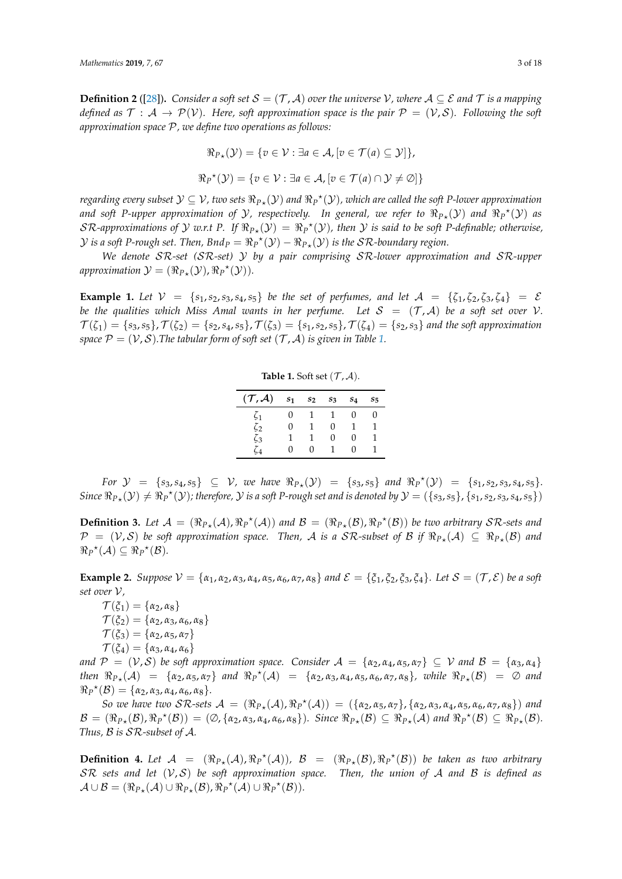**Definition 2** ([\[28\]](#page-16-13)). Consider a soft set  $S = (T, A)$  over the universe V, where  $A \subseteq \mathcal{E}$  and  $T$  is a mapping *defined as*  $\mathcal{T}: A \to \mathcal{P}(\mathcal{V})$ . Here, soft approximation space is the pair  $\mathcal{P} = (\mathcal{V}, \mathcal{S})$ . Following the soft *approximation space* P*, we define two operations as follows:*

$$
\Re_{P*}(\mathcal{Y}) = \{ v \in \mathcal{V} : \exists a \in \mathcal{A}, [v \in \mathcal{T}(a) \subseteq \mathcal{Y}] \},\
$$

$$
\Re_P{}^{\star}(\mathcal{Y}) = \{ v \in \mathcal{V} : \exists a \in \mathcal{A}, [v \in \mathcal{T}(a) \cap \mathcal{Y} \neq \emptyset] \}
$$

regarding every subset  $\mathcal{Y} \subseteq \mathcal{V}$ , two sets  $\Re_{P*}(\mathcal{Y})$  and  $\Re_P{}^*(\mathcal{Y})$ , which are called the soft P-lower approximation and soft P-upper approximation of  $Y$ , respectively. In general, we refer to  $\Re_{P \star}(\mathcal{Y})$  and  $\Re_P^{\star}(\mathcal{Y})$  as  $\mathcal{SR}$ -approximations of  $\mathcal Y$  w.r.t P. If  $\Re_{P*}(\mathcal Y)=\Re_P{}^\star(\mathcal Y)$ , then  $\mathcal Y$  is said to be soft P-definable; otherwise,  $\mathcal Y$  *is a soft P-rough set. Then, Bnd* $_P = \Re_P^{\star}(\mathcal Y) - \Re_{P_{\star}}(\mathcal Y)$  *is the SR-boundary region.* 

*We denote* SR*-set (*SR*-set)* Y *by a pair comprising* SR*-lower approximation and* SR*-upper*  $approximation \mathcal{Y} = (\Re_{P\star}(\mathcal{Y}), \Re_{P}^{\star}(\mathcal{Y}))$ *.* 

<span id="page-2-0"></span>**Example 1.** Let  $V = \{s_1, s_2, s_3, s_4, s_5\}$  be the set of perfumes, and let  $A = \{\zeta_1, \zeta_2, \zeta_3, \zeta_4\} = \mathcal{E}$ *be the qualities which Miss Amal wants in her perfume. Let*  $S = (T, A)$  *be a soft set over* V.  $\mathcal{T}(\zeta_1) = \{s_3, s_5\}, \mathcal{T}(\zeta_2) = \{s_2, s_4, s_5\}, \mathcal{T}(\zeta_3) = \{s_1, s_2, s_5\}, \mathcal{T}(\zeta_4) = \{s_2, s_3\}$  and the soft approximation *space*  $P = (V, S)$ *.The tabular form of soft set*  $(T, A)$  *is given in Table [1.](#page-2-0)* 

**Table 1.** Soft set  $(\mathcal{T}, \mathcal{A})$ .

| $({\cal T}, {\cal A})$ | $s_1$ | $s_2$ | $s_3$ | $s_4$        | $S_{\overline{2}}$ |
|------------------------|-------|-------|-------|--------------|--------------------|
| $\zeta_1$              |       |       |       | 0            | 0                  |
| $\zeta_2$              | 0     |       | 0     | Ί            |                    |
| $\zeta_3$              |       | ı     | 0     | $\mathbf{0}$ |                    |
| Čд                     | 0     | 0     |       | $\mathbf{I}$ |                    |

 $For \ \mathcal{Y} = \{s_3, s_4, s_5\} \subseteq \mathcal{V}$ , we have  $\Re_{P*}(\mathcal{Y}) = \{s_3, s_5\}$  and  $\Re_{P}^{\star}(\mathcal{Y}) = \{s_1, s_2, s_3, s_4, s_5\}.$  $Sinee \ \Re_{P*}(\mathcal{Y}) \neq \Re_{P}^{\star}(\mathcal{Y})$ ; therefore,  $\mathcal{Y}$  is a soft P-rough set and is denoted by  $\mathcal{Y} = (\{s_3, s_5\}, \{s_1, s_2, s_3, s_4, s_5\})$ 

**Definition 3.** Let  $\mathcal{A} = (\Re_{P*}(\mathcal{A}), \Re_{P}^{\star}(\mathcal{A}))$  and  $\mathcal{B} = (\Re_{P*}(\mathcal{B}), \Re_{P}^{\star}(\mathcal{B}))$  be two arbitrary  $\mathcal{SR}$ -sets and  $\mathcal{P} = (\mathcal{V}, \mathcal{S})$  be soft approximation space. Then,  $\mathcal{A}$  is a  $\mathcal{S}\mathcal{R}$ -subset of  $\mathcal{B}$  if  $\Re_{P*}(\mathcal{A}) \subseteq \Re_{P*}(\mathcal{B})$  and  $\Re_P^{\star}(\mathcal{A}) \subseteq \Re_P^{\star}(\mathcal{B}).$ 

<span id="page-2-1"></span>**Example 2.** Suppose  $V = \{\alpha_1, \alpha_2, \alpha_3, \alpha_4, \alpha_5, \alpha_6, \alpha_7, \alpha_8\}$  and  $\mathcal{E} = \{\xi_1, \xi_2, \xi_3, \xi_4\}$ . Let  $\mathcal{S} = (\mathcal{T}, \mathcal{E})$  be a soft *set over* V*,*

 $\mathcal{T}(\xi_1) = {\alpha_2, \alpha_8}$  $\mathcal{T}(\xi_2) = {\alpha_2, \alpha_3, \alpha_6, \alpha_8}$  $\mathcal{T}(\xi_3) = {\alpha_2, \alpha_5, \alpha_7}$  $\mathcal{T}(\xi_4) = {\alpha_3, \alpha_4, \alpha_6}$ 

*and*  $P = (V, S)$  *be soft approximation space. Consider*  $A = \{\alpha_2, \alpha_4, \alpha_5, \alpha_7\} \subseteq V$  *and*  $B = \{\alpha_3, \alpha_4\}$ *then*  $\Re_{P*}(A) = {\alpha_2, \alpha_5, \alpha_7}$  *and*  $\Re_P^{\star}(A) = {\alpha_2, \alpha_3, \alpha_4, \alpha_5, \alpha_6, \alpha_7, \alpha_8}$ *, while*  $\Re_{P*}(B) = \emptyset$  *and*  $\Re_P^{\star}(\mathcal{B}) = {\alpha_2, \alpha_3, \alpha_4, \alpha_6, \alpha_8}.$ 

 $S$ *o* we have two  $S$ R-sets  $A = (\Re_{P_{*}}(A), \Re_{P}^{*}(A)) = (\{\alpha_{2}, \alpha_{5}, \alpha_{7}\}, \{\alpha_{2}, \alpha_{3}, \alpha_{4}, \alpha_{5}, \alpha_{6}, \alpha_{7}, \alpha_{8}\})$  and  $\mathcal{B} = (\Re_{P_{\star}}(\mathcal{B}), \Re_{P}^{\star}(\mathcal{B})) = (\emptyset, \{\alpha_2, \alpha_3, \alpha_4, \alpha_6, \alpha_8\}).$  Since  $\Re_{P_{\star}}(\mathcal{B}) \subseteq \Re_{P_{\star}}(\mathcal{A})$  and  $\Re_{P}^{\star}(\mathcal{B}) \subseteq \Re_{P_{\star}}(\mathcal{B}).$ *Thus,* B *is* SR*-subset of* A*.*

**Definition 4.** Let  $\mathcal{A} = (\Re_{P_{\star}}(\mathcal{A}), \Re_{P}^{\star}(\mathcal{A}))$ ,  $\mathcal{B} = (\Re_{P_{\star}}(\mathcal{B}), \Re_{P}^{\star}(\mathcal{B}))$  be taken as two arbitrary SR *sets and let* (V, S) *be soft approximation space. Then, the union of* A *and* B *is defined as*  $\mathcal{A} \cup \mathcal{B} = (\Re_{P_{\star}}(\mathcal{A}) \cup \Re_{P_{\star}}(\mathcal{B}), \Re_{P}^{\star}(\mathcal{A}) \cup \Re_{P}^{\star}(\mathcal{B})).$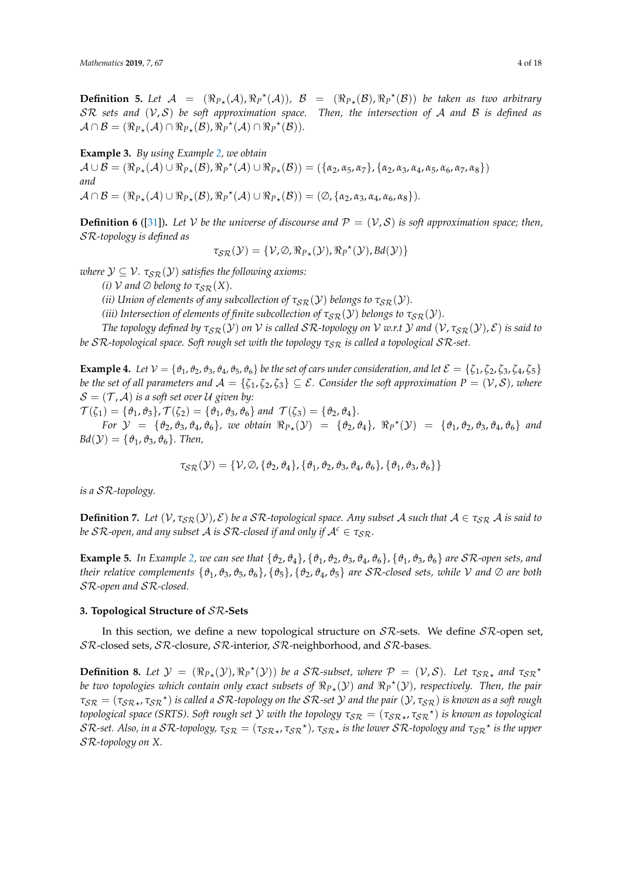**Definition 5.** Let  $\mathcal{A} = (\Re_{P_{\star}}(\mathcal{A}), \Re_{P}^{\star}(\mathcal{A}))$ ,  $\mathcal{B} = (\Re_{P_{\star}}(\mathcal{B}), \Re_{P}^{\star}(\mathcal{B}))$  be taken as two arbitrary SR *sets and* (V, S) *be soft approximation space. Then, the intersection of* A *and* B *is defined as*  $\mathcal{A} \cap \mathcal{B} = (\Re_{P_{\star}}(\mathcal{A}) \cap \Re_{P_{\star}}(\mathcal{B}), \Re_{P}^{\star}(\mathcal{A}) \cap \Re_{P}^{\star}(\mathcal{B})).$ 

**Example 3.** *By using Example [2,](#page-2-1) we obtain*

 $\mathcal{A} \cup \mathcal{B} = (\Re_{P_{\star}}(\mathcal{A}) \cup \Re_{P_{\star}}(\mathcal{B}), \Re_{P}^{\star}(\mathcal{A}) \cup \Re_{P_{\star}}(\mathcal{B})) = (\{\alpha_2, \alpha_5, \alpha_7\}, \{\alpha_2, \alpha_3, \alpha_4, \alpha_5, \alpha_6, \alpha_7, \alpha_8\})$ *and*  $A \cap B = (\Re_{P_{\star}}(A) \cup \Re_{P_{\star}}(B), \Re_{P}^{\star}(A) \cup \Re_{P_{\star}}(B)) = (\emptyset, \{\alpha_2, \alpha_3, \alpha_4, \alpha_6, \alpha_8\}).$ 

**Definition 6** ([\[31\]](#page-16-16)). Let *V* be the universe of discourse and  $P = (V, S)$  is soft approximation space; then, SR*-topology is defined as*

 $\tau_{\mathcal{SR}}(\mathcal{Y}) = \{ \mathcal{V}, \emptyset, \Re_{P_{\star}}(\mathcal{Y}), \Re_{P}^{\star}(\mathcal{Y}), Bd(\mathcal{Y}) \}$ 

*where*  $\mathcal{Y} \subseteq \mathcal{V}$ *.*  $\tau_{SR}(\mathcal{Y})$  *satisfies the following axioms:* 

*(i)*  $\mathcal{V}$  *and*  $\emptyset$  *belong to*  $\tau_{SR}(X)$ *.* 

*(ii)* Union of elements of any subcollection of  $\tau_{\text{SR}}(\mathcal{Y})$  belongs to  $\tau_{\text{SR}}(\mathcal{Y})$ .

*(iii) Intersection of elements of finite subcollection of*  $\tau_{SR}(\mathcal{Y})$  *belongs to*  $\tau_{SR}(\mathcal{Y})$ *.* 

*The topology defined by*  $\tau_{SR}(\mathcal{Y})$  *on* V *is called*  $SR$ *-topology on* V *w.r.t* Y *and*  $(\mathcal{V}, \tau_{SR}(\mathcal{Y}), \mathcal{E})$  *is said to be*  $SR$ -topological space. Soft rough set with the topology  $\tau_{SR}$  is called a topological  $SR$ -set.

**Example 4.** *Let*  $V = \{\vartheta_1, \vartheta_2, \vartheta_3, \vartheta_4, \vartheta_5, \vartheta_6\}$  *be the set of cars under consideration, and let*  $\mathcal{E} = \{\zeta_1, \zeta_2, \zeta_3, \zeta_4, \zeta_5\}$ *be the set of all parameters and*  $\mathcal{A} = \{\zeta_1, \zeta_2, \zeta_3\} \subseteq \mathcal{E}$ . Consider the soft approximation  $P = (\mathcal{V}, \mathcal{S})$ , where  $S = (\mathcal{T}, \mathcal{A})$  *is a soft set over*  $\mathcal{U}$  *given by:* 

 $\mathcal{T}(\zeta_1) = \{\vartheta_1, \vartheta_3\}, \mathcal{T}(\zeta_2) = \{\vartheta_1, \vartheta_3, \vartheta_6\}$  *and*  $\mathcal{T}(\zeta_3) = \{\vartheta_2, \vartheta_4\}.$ 

 $For \ \mathcal{Y} = \{\theta_2, \theta_3, \theta_4, \theta_6\},\$  we obtain  $\Re_{P*}(\mathcal{Y}) = \{\theta_2, \theta_4\},\ \Re_{P}^{\star}(\mathcal{Y}) = \{\theta_1, \theta_2, \theta_3, \theta_4, \theta_6\}$  and  $Bd(\mathcal{Y}) = \{\vartheta_1, \vartheta_3, \vartheta_6\}$ *. Then,* 

$$
\tau_{\mathcal{SR}}(\mathcal{Y}) = \{ \mathcal{V}, \emptyset, \{\vartheta_2, \vartheta_4\}, \{\vartheta_1, \vartheta_2, \vartheta_3, \vartheta_4, \vartheta_6\}, \{\vartheta_1, \vartheta_3, \vartheta_6\} \}
$$

*is a* SR*-topology.*

**Definition 7.** Let  $(V, \tau_{SR}(Y), \mathcal{E})$  be a SR-topological space. Any subset A such that  $A \in \tau_{SR}$  A is said to *be*  $\mathcal{SR}$ -open, and any subset A is  $\mathcal{SR}$ -closed if and only if  $\mathcal{A}^c \in \tau_{SR}$ .

**Example 5.** *In Example [2,](#page-2-1) we can see that*  $\{\vartheta_2, \vartheta_4\}, \{\vartheta_1, \vartheta_2, \vartheta_3, \vartheta_4, \vartheta_6\}, \{\vartheta_1, \vartheta_3, \vartheta_6\}$  *are SR*-open *sets, and their relative complements*  $\{\vartheta_1, \vartheta_3, \vartheta_5, \vartheta_6\}, \{\vartheta_5\}, \{\vartheta_2, \vartheta_4, \vartheta_5\}$  *are SR-closed sets, while V* and  $\varnothing$  *are both* SR*-open and* SR*-closed.*

## <span id="page-3-0"></span>**3. Topological Structure of** SR**-Sets**

In this section, we define a new topological structure on  $\mathcal{SR}$ -sets. We define  $\mathcal{SR}$ -open set, SR-closed sets, SR-closure, SR-interior, SR-neighborhood, and SR-bases.

**Definition 8.** Let  $\mathcal{Y} = (\Re_{P_{\star}}(\mathcal{Y}), \Re_{P}^{\star}(\mathcal{Y}))$  be a SR-subset, where  $\mathcal{P} = (\mathcal{V}, \mathcal{S})$ . Let  $\tau_{\mathcal{SR}_{\star}}$  and  $\tau_{\mathcal{SR}}^{\star}$ be two topologies which contain only exact subsets of  $\Re_{P\star}(\mathcal{Y})$  and  $\Re_P{}^\star(\mathcal{Y})$ , respectively. Then, the pair  $\tau_{SR} = (\tau_{SR_\star}, \tau_{SR}{}^\star)$  *is called a SR-topology on the SR-set*  $\cal Y$  *and the pair*  $(\cal Y, \tau_{SR})$  *<i>is known as a soft rough topological space (SRTS). Soft rough set*  $\cal Y$  *with the topology*  $\tau_{\cal SR} = (\tau_{\cal SR \star}, \tau_{\cal SR}{}^\star)$  *is known as topological*  $SR$ -set. Also, in a  $SR$ -topology,  $\tau_{SR} = (\tau_{SR_\star}, \tau_{SR}{}^\star)$ ,  $\tau_{SR_\star}$  is the lower  $SR$ -topology and  $\tau_{SR}{}^\star$  is the upper SR*-topology on X.*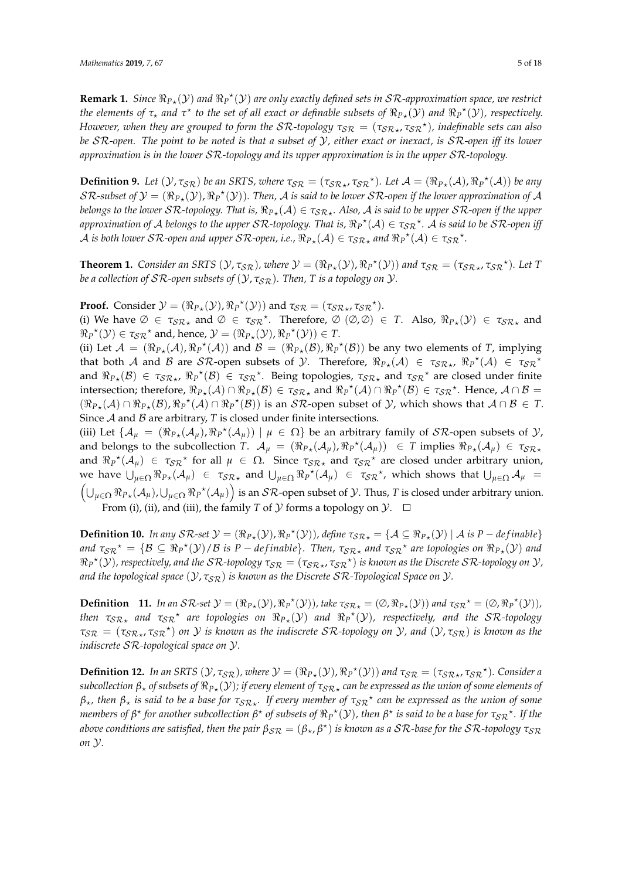**Remark 1.** Since  $\Re_{P*}(y)$  and  $\Re_{P}^{*}(y)$  are only exactly defined sets in  $SR$ -approximation space, we restrict *the elements of*  $\tau_\star$  *and*  $\tau^\star$  *to the set of all exact or definable subsets of*  $\Re_{P\star}(\mathcal{Y})$  *and*  $\Re_P^{\star}(\mathcal{Y})$ *, respectively. However, when they are grouped to form the SR-topology*  $\tau_{SR} = (\tau_{SR}$ ,  $\tau_{SR}$ <sup>\*</sup>), indefinable sets can also *be* SR*-open. The point to be noted is that a subset of* Y*, either exact or inexact, is* SR*-open iff its lower approximation is in the lower* SR*-topology and its upper approximation is in the upper* SR*-topology.*

**Definition 9.** Let  $(\mathcal{Y}, \tau_{\mathcal{SR}})$  be an SRTS, where  $\tau_{\mathcal{SR}} = (\tau_{\mathcal{SR}*}, \tau_{\mathcal{SR}}^*)$ . Let  $\mathcal{A} = (\Re_{P*}(\mathcal{A}), \Re_{P}^{\star}(\mathcal{A}))$  be any  $\cal SR$ -subset of  $\cal Y=(\Re_{P\star}(V),\Re_P{}^\star(\cal Y))$ . Then,  $\cal A$  is said to be lower  $\cal SR$ -open if the lower approximation of  $\cal A$ belongs to the lower  $\cal SR$ -topology. That is,  $\Re_{P \star}(A) \in \tau_{SR \star}$ . Also,  $A$  is said to be upper  $\cal SR$ -open if the upper  $a$  *approximation of A belongs to the upper*  $S$ R-topology. That is,  $\Re_P^{\star}(A) \in \tau_{S}$ R $^{\star}$ . A is said to be  $S$ R-open iff  $A$  is both lower  $\mathcal{SR}$ -open and upper  $\mathcal{SR}$ -open, i.e.,  $\Re_{P*}(\mathcal{A}) \in \tau_{\mathcal{SR}*}$  and  $\Re_P{}^{\star}(\mathcal{A}) \in \tau_{\mathcal{SR}}{}^{\star}.$ 

**Theorem 1.** *Consider an SRTS*  $(Y, \tau_{SR})$ *, where*  $\mathcal{Y} = (\Re_{P*}(Y), \Re_P{}^{\star}(Y))$  *and*  $\tau_{SR} = (\tau_{SR*}, \tau_{SR}{}^{\star})$ *. Let T be a collection of SR-open subsets of*  $(Y, \tau_{S\mathcal{R}})$ *. Then, T is a topology on*  $Y$ *.* 

**Proof.** Consider  $\mathcal{Y} = (\Re_{P*}(\mathcal{Y}), \Re_{P}^{\star}(\mathcal{Y}))$  and  $\tau_{\mathcal{SR}} = (\tau_{\mathcal{SR}_{\star}}, \tau_{\mathcal{SR}}^{\star}).$ 

(i) We have  $\emptyset \in \tau_{\mathcal{S}\mathcal{R}}$  and  $\emptyset \in \tau_{\mathcal{S}\mathcal{R}}^*$ . Therefore,  $\emptyset$  ( $\emptyset$ , $\emptyset$ )  $\in$  *T*. Also,  $\Re_{P*}(\mathcal{Y}) \in \tau_{\mathcal{S}\mathcal{R}}^*$  and  $\Re_P^{\star}(\mathcal{Y}) \in \tau_{\mathcal{SR}}^{\star}$  and, hence,  $\mathcal{Y} = (\Re_{P_{\star}}(\mathcal{Y}), \Re_P^{\star}(\mathcal{Y})) \in T$ .

(ii) Let  $\mathcal{A} = (\Re_{P*}(\mathcal{A}), \Re_P^{\star}(\mathcal{A}))$  and  $\mathcal{B} = (\Re_{P*}(\mathcal{B}), \Re_P^{\star}(\mathcal{B}))$  be any two elements of *T*, implying that both A and B are SR-open subsets of Y. Therefore,  $\Re_{P*}(A) \in \tau_{SR*}$ ,  $\Re_{P}^{\star}(A) \in \tau_{SR*}^{\star}$ and  $\Re_{P*}(B) \in \tau_{\mathcal{SR}*}$ ,  $\Re_P^{\star}(B) \in \tau_{\mathcal{SR}}^{\star}$ . Being topologies,  $\tau_{\mathcal{SR}*}$  and  $\tau_{\mathcal{SR}}^{\star}$  are closed under finite intersection; therefore,  $\Re_{P*}(A) \cap \Re_{P*}(B) \in \tau_{SR*}$  and  $\Re_P^{\star}(A) \cap \Re_P^{\star}(B) \in \tau_{SR}^{\star}$ . Hence,  $A \cap B =$  $(\Re_{P_{\star}}(\mathcal{A}) \cap \Re_{P_{\star}}(\mathcal{B}), \Re_{P}^{\star}(\mathcal{A}) \cap \Re_{P}^{\star}(\mathcal{B}))$  is an SR-open subset of  $\mathcal{Y}$ , which shows that  $\mathcal{A} \cap \mathcal{B} \in \mathcal{T}$ . Since  $A$  and  $B$  are arbitrary,  $T$  is closed under finite intersections.

(iii) Let  $\{A_\mu = (\Re_{P*}(A_\mu), \Re_P^*(A_\mu)) \mid \mu \in \Omega\}$  be an arbitrary family of  $\mathcal{SR}$ -open subsets of  $\mathcal{Y},$ and belongs to the subcollection *T*.  $\mathcal{A}_{\mu} = (\Re_{P_{\star}}(\mathcal{A}_{\mu}), \Re_{P}^{\star}(\mathcal{A}_{\mu})) \in T$  implies  $\Re_{P_{\star}}(\mathcal{A}_{\mu}) \in \tau_{S\mathcal{R}_{\star}}$ and  $\Re P^{\star}(\mathcal{A}_{\mu}) \in \tau_{\mathcal{SR}}^{\star}$  for all  $\mu \in \Omega$ . Since  $\tau_{\mathcal{SR}\star}$  and  $\tau_{\mathcal{SR}}^{\star}$  are closed under arbitrary union, we have  $\bigcup_{\mu \in \Omega} \Re_{P*}(\mathcal{A}_{\mu}) \in \tau_{\mathcal{SR}*}$  and  $\bigcup_{\mu \in \Omega} \Re_{P}^*(\mathcal{A}_{\mu}) \in \tau_{\mathcal{SR}}^*$ , which shows that  $\bigcup_{\mu \in \Omega} \mathcal{A}_{\mu} =$ <br>( $\bigcup_{\mu \in \Omega} \Re_{P*}(\mathcal{A}_{\mu})$ ,  $\bigcup_{\mu \in \Omega} \Re_{P}^*(\mathcal{A}_{\mu})\big)$  is an *SR*-open sub  $_{\mu\in\Omega}$   $\Re_{P\star}(\mathcal{A}_\mu)$ , $\bigcup_{\mu\in\Omega}\Re_{P}{}^\star(\mathcal{A}_\mu)\Big)$  is an  $\mathcal{SR}$ -open subset of  $\mathcal Y.$  Thus,  $T$  is closed under arbitrary union. From (i), (ii), and (iii), the family *T* of *Y* forms a topology on *Y*.  $\Box$ 

**Definition 10.** *In any*  $\mathcal{SR}\text{-}set\mathcal{Y} = (\Re_{P*}(\mathcal{Y}), \Re_{P}^{\star}(\mathcal{Y}))$ , define  $\tau_{\mathcal{SR}*} = \{\mathcal{A} \subseteq \Re_{P*}(\mathcal{Y}) \mid \mathcal{A} \text{ is } P-\text{definable}\}\$  $\pi_{SR}^* = \{B \subseteq \Re_P^*(\mathcal{Y})/B \text{ is } P-\text{definable}\}.$  Then,  $\tau_{SR*}$  and  $\tau_{SR}^*$  are topologies on  $\Re_{P*}(\mathcal{Y})$  and  $\Re_P^{\star}(\mathcal{Y})$ , respectively, and the SR-topology  $\tau_{\mathcal{SR}} = (\tau_{\mathcal{SR}_\star},\tau_{\mathcal{SR}}{}^\star)$  is known as the Discrete SR-topology on  $\mathcal{Y}$ , *and the topological space* ( $Y, \tau_{SR}$ ) *is known as the Discrete SR-Topological Space on*  $Y$ *.* 

**Definition** 11. *In an*  $S\mathcal{R}$ -set  $\mathcal{Y} = (\Re_{P*}(\mathcal{Y}), \Re_{P}{}^{*}(\mathcal{Y}))$ *, take*  $\tau_{S\mathcal{R}*} = (\emptyset, \Re_{P*}(\mathcal{Y}))$ *and*  $\tau_{S\mathcal{R}}{}^{*} = (\emptyset, \Re_{P}{}^{*}(\mathcal{Y}))$ *, then*  $\tau_{\mathcal{SR}}$  and  $\tau_{\mathcal{SR}}$ <sup>\*</sup> are topologies on  $\Re_P{}_{\star}(\mathcal{Y})$  and  $\Re_P{}^{\star}(\mathcal{Y})$ , respectively, and the SR-topology *τ*SR = (*τ*SR? , *τ*SR ? ) *on* Y *is known as the indiscrete* SR*-topology on* Y*, and* (Y, *τ*SR) *is known as the indiscrete* SR*-topological space on* Y*.*

**Definition 12.** In an SRTS  $(\mathcal{Y}, \tau_{\mathcal{SR}})$ , where  $\mathcal{Y} = (\Re_{P*}(\mathcal{Y}), \Re_{P}^{\star}(\mathcal{Y}))$  and  $\tau_{\mathcal{SR}} = (\tau_{\mathcal{SR}*}, \tau_{\mathcal{SR}}^{\star})$ . Consider a  $s$ ubcollection  $\beta_\star$  of subsets of  $\Re_{P\star}({\cal Y})$ ; if every element of  $\tau_{\mathcal{SR}\star}$  can be expressed as the union of some elements of *β*?*, then β*? *is said to be a base for τ*SR? *. If every member of τ*SR ? *can be expressed as the union of some members of*  $\beta^*$  *for another subcollection*  $\beta^*$  *of subsets of*  $\Re_P^*(\mathcal{Y})$ *, then*  $\beta^*$  *is said to be a base for*  $\tau_{\mathcal{SR}}^*$ *. If the*  $a$ bove conditions are satisfied, then the pair  $β_{\mathcal{SR}} = (β_*, β^*)$  is known as a  $\mathcal{SR}$ -base for the  $\mathcal{SR}$ -topology  $τ_{\mathcal{SR}}$ *on* Y*.*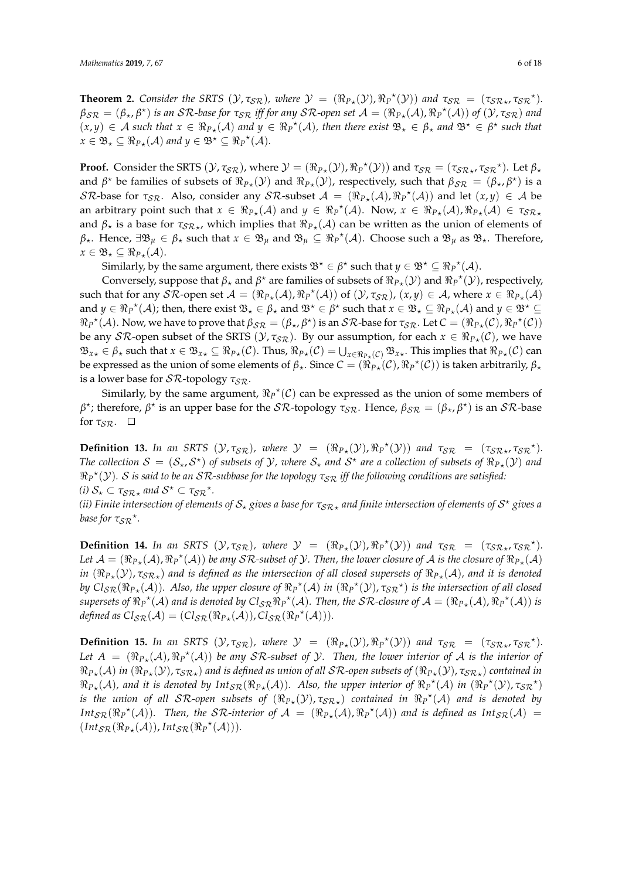**Theorem 2.** *Consider the SRTS*  $(\mathcal{Y}, \tau_{\mathcal{SR}})$ *, where*  $\mathcal{Y} = (\Re_{P*}(\mathcal{Y}), \Re_{P}^{*}(\mathcal{Y}))$  *and*  $\tau_{\mathcal{SR}} = (\tau_{\mathcal{SR}*}, \tau_{\mathcal{SR}}^{*})$ *.*  $\beta_{\mathcal{SR}}=(\beta_\star,\beta^\star)$  *is an SR-base for*  $\tau_{\mathcal{SR}}$  *iff for any SR-open set*  $\mathcal{A}=(\Re_{P_\star}(\mathcal{A}),\Re_P{}^\star(\mathcal{A}))$  *of*  $(\mathcal{Y},\tau_{\mathcal{SR}})$  *and*  $(x,y) \in A$  such that  $x \in \Re_{P*}(A)$  and  $y \in \Re_P^{\star}(A)$ , then there exist  $\mathfrak{B}_\star \in \beta_\star$  and  $\mathfrak{B}^\star \in \beta^\star$  such that  $x \in \mathfrak{B}_\star \subseteq \Re_{P_\star}(\mathcal{A})$  and  $y \in \mathfrak{B}^\star \subseteq \Re_{P}^{\star}(\mathcal{A})$ .

**Proof.** Consider the SRTS  $(\mathcal{Y}, \tau_{\mathcal{SR}})$ , where  $\mathcal{Y} = (\Re_{P*}(\mathcal{Y}), \Re_{P}^{\star}(\mathcal{Y}))$  and  $\tau_{\mathcal{SR}} = (\tau_{\mathcal{SR}*}, \tau_{\mathcal{SR}}^{\star})$ . Let  $\beta_*$ and  $\beta^*$  be families of subsets of  $\Re_{P*}(\mathcal{Y})$  and  $\Re_{P*}(\mathcal{Y})$ , respectively, such that  $\beta_{\mathcal{SR}} = (\beta_{\star}, \beta^*)$  is a SR-base for  $\tau_{SR}$ . Also, consider any SR-subset  $A = (\Re_{P*}(A), \Re_P^{\star}(A))$  and let  $(x, y) \in A$  be an arbitrary point such that  $x \in \Re_{P_{\star}}(\mathcal{A})$  and  $y \in \Re_{P}^{\star}(\mathcal{A})$ . Now,  $x \in \Re_{P_{\star}}(\mathcal{A}), \Re_{P_{\star}}(\mathcal{A}) \in \tau_{SR_{\star}}$ and  $\beta_{\star}$  is a base for  $\tau_{\mathcal{SR}_{\star}}$ , which implies that  $\Re_{P_{\star}}(\mathcal{A})$  can be written as the union of elements of  $\beta_{\star}$ . Hence,  $\exists \mathfrak{B}_{\mu} \in \beta_{\star}$  such that  $x \in \mathfrak{B}_{\mu}$  and  $\mathfrak{B}_{\mu} \subseteq \Re_P^{\star}(\mathcal{A})$ . Choose such a  $\mathfrak{B}_{\mu}$  as  $\mathfrak{B}_{\star}$ . Therefore,  $x \in \mathfrak{B}_\star \subseteq \Re_{P_\star}(\mathcal{A}).$ 

Similarly, by the same argument, there exists  $\mathfrak{B}^{\star} \in \beta^{\star}$  such that  $y \in \mathfrak{B}^{\star} \subseteq \Re_P^{\star}(\mathcal{A})$ .

Conversely, suppose that  $\beta$ <sup>\*</sup> and  $\beta$ <sup>\*</sup> are families of subsets of  $\Re_{P*}(\mathcal{Y})$  and  $\Re_P^*(\mathcal{Y})$ , respectively, such that for any  $\mathcal{SR}$ -open set  $\mathcal{A} = (\Re_{P*}(\mathcal{A}), \Re_P^{\star}(\mathcal{A}))$  of  $(\mathcal{Y}, \tau_{\mathcal{SR}})$ ,  $(x, y) \in \mathcal{A}$ , where  $x \in \Re_{P*}(\mathcal{A})$ and  $y \in \Re_P^{\star}(\mathcal{A})$ ; then, there exist  $\mathfrak{B}_\star \in \beta_\star$  and  $\mathfrak{B}^\star \in \beta^\star$  such that  $x \in \mathfrak{B}_\star \subseteq \Re_{P_\star}(\mathcal{A})$  and  $y \in \mathfrak{B}^\star \subseteq$  $\Re_P^{\star}(A)$ . Now, we have to prove that  $\beta_{\mathcal{SR}} = (\beta_{\star}, \beta^{\star})$  is an  $\mathcal{SR}$ -base for  $\tau_{\mathcal{SR}}$ . Let  $C = (\Re_{P_{\star}}(\mathcal{C}), \Re_P^{\star}(\mathcal{C}))$ be any  $\mathcal{SR}$ -open subset of the SRTS  $(\mathcal{Y}, \tau_{\mathcal{SR}})$ . By our assumption, for each  $x \in \Re_{P*}(\mathcal{C})$ , we have  $\mathfrak{B}_{x\star}\in \beta_{\star}$  such that  $x\in \mathfrak{B}_{x\star}\subseteq \Re_{P\star}(\mathcal{C})$ . Thus,  $\Re_{P\star}(\mathcal{C})=\bigcup_{x\in \Re_{P\star}(\mathcal{C})}\mathfrak{B}_{x\star}$ . This implies that  $\Re_{P\star}(\mathcal{C})$  can be expressed as the union of some elements of  $\beta_{\star}$ . Since  $C = (\hat{R}_{P,\star}(C), \hat{R}_{P}^{\star}(C))$  is taken arbitrarily,  $\beta_{\star}$ is a lower base for *SR*-topology  $τ_{SR}$ .

Similarly, by the same argument,  $\Re_P^{\star}(\mathcal{C})$  can be expressed as the union of some members of *β*<sup>\*</sup>; therefore, *β*<sup>\*</sup> is an upper base for the *SR*-topology *τ<sub>SR</sub>*. Hence, *β<sub>SR</sub>* = (*β*<sub>\*</sub>, *β*<sup>\*</sup>) is an *SR*-base for  $\tau_{\mathcal{SR}}$ .  $\square$ 

**Definition 13.** In an SRTS  $(\mathcal{Y}, \tau_{\mathcal{SR}})$ , where  $\mathcal{Y} = (\Re_{P*}(\mathcal{Y}), \Re_P{}^{\star}(\mathcal{Y}))$  and  $\tau_{\mathcal{SR}} = (\tau_{\mathcal{SR}*}, \tau_{\mathcal{SR}}{}^{\star})$ . The collection  $S = (S_\star, S^\star)$  of subsets of  $\mathcal Y$ , where  $S_\star$  and  $S^\star$  are a collection of subsets of  $\Re_{P_\star}(\mathcal Y)$  and  $\Re_P^{\star}(\mathcal{Y})$ .  $S$  is said to be an  $\mathcal{SR}$ -subbase for the topology  $\tau_{\mathcal{SR}}$  iff the following conditions are satisfied:  $(i)$   $S_{\star} \subset \tau_{S\mathcal{R}\star}$  and  $S^{\star} \subset \tau_{S\mathcal{R}}^{\star}$ .

(ii) Finite intersection of elements of  $\mathcal{S}_\star$  gives a base for  $\tau_{\mathcal{SR}\star}$  and finite intersection of elements of  $\mathcal{S}^\star$  gives a base for  $\tau_{\mathcal{SR}}^*$ .

**Definition 14.** In an SRTS  $(\mathcal{Y}, \tau_{\mathcal{SR}})$ , where  $\mathcal{Y} = (\Re_{P*}(\mathcal{Y}), \Re_P{}^{\star}(\mathcal{Y}))$  and  $\tau_{\mathcal{SR}} = (\tau_{\mathcal{SR}*}, \tau_{\mathcal{SR}}{}^{\star})$ . Let  $\mathcal{A} = (\Re_{P*}(\mathcal{A}), \Re_P{}^{\star}(\mathcal{A}))$  be any  $\mathcal{SR}\text{-subset of }\mathcal{Y}$ . Then, the lower closure of  $\mathcal{A}$  is the closure of  $\Re_{P*}(\mathcal{A})$  $in$   $(\Re_{P_\star}(\mathcal{Y}), \tau_{\mathcal{SR}_\star})$  and is defined as the intersection of all closed supersets of  $\Re_{P_\star}(\mathcal{A})$ , and it is denoted *by*  $Cl_{\mathcal{SR}}(\Re_{P*}(A))$ . Also, the upper closure of  $\Re_P^{\star}(A)$  in  $(\Re_P^{\star}(Y), \tau_{\mathcal{SR}}^{\star})$  is the intersection of all closed  $s$ upersets of  $\Re_P^{\star}(A)$  and is denoted by  $Cl_{SR}\Re_P^{\star}(A)$ . Then, the SR-closure of  $A = (\Re_{P*}(A), \Re_P^{\star}(A))$  is  $\text{defined as } \text{Cl}_{\mathcal{SR}}(\mathcal{A}) = (\text{Cl}_{\mathcal{SR}}(\Re_{P \star}(\mathcal{A})), \text{Cl}_{\mathcal{SR}}(\Re_{P}^{\star}(\mathcal{A}))).$ 

**Definition 15.** In an SRTS  $(\mathcal{Y}, \tau_{\mathcal{SR}})$ , where  $\mathcal{Y} = (\Re_{P*}(\mathcal{Y}), \Re_{P}^{*}(\mathcal{Y}))$  and  $\tau_{\mathcal{SR}} = (\tau_{\mathcal{SR}*}, \tau_{\mathcal{SR}}^{*})$ . Let  $A = (\Re_{P*}(A), \Re_{P}^{\star}(A))$  be any SR-subset of Y. Then, the lower interior of A is the interior of  $\Re_{P_\star}(\mathcal{A})$  *in*  $(\Re_{P_\star}(\mathcal{Y}), \tau_{S\mathcal{R}_\star})$  and is defined as union of all  $S\mathcal{R}$ -open subsets of  $(\Re_{P_\star}(\mathcal{Y}), \tau_{S\mathcal{R}_\star})$  contained in  $\Re_{P*}(A)$ , and it is denoted by  $Int_{S\mathcal{R}}(\Re_{P*}(A))$ . Also, the upper interior of  $\Re_{P}^{\star}(A)$  in  $(\Re_{P}^{\star}(\mathcal{Y}), \tau_{S\mathcal{R}}^{\star})$ *is the union of all SR-open subsets of*  $(\Re_{P*}(\mathcal{Y}), \tau_{S\mathcal{R}*})$  *contained in*  $\Re_P^{\star}(\mathcal{A})$  *and is denoted by*  $Int_{SR}(\Re_P^{\star}(\mathcal{A}))$ . Then, the SR-interior of  $\mathcal{A} = (\Re_{P_{\star}}(\mathcal{A}), \Re_P^{\star}(\mathcal{A}))$  and is defined as  $Int_{SR}(\mathcal{A}) =$  $(Int_{\mathcal{SR}}(\Re_{P*}(\mathcal{A})), Int_{\mathcal{SR}}(\Re_{P}^{\star}(\mathcal{A}))).$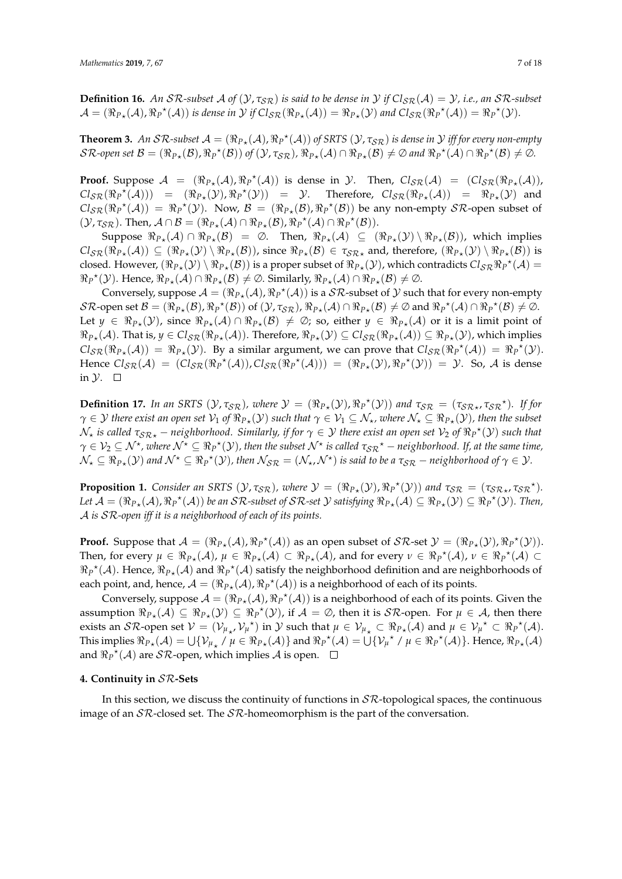**Definition 16.** An SR-subset A of  $(\mathcal{Y}, \tau_{SR})$  is said to be dense in  $\mathcal{Y}$  if  $Cl_{SR}(\mathcal{A}) = \mathcal{Y}$ , i.e., an SR-subset  $\mathcal{A} = (\Re_{P_{\star}}(\mathcal{A}), \Re_{P}^{\star}(\mathcal{A}))$  is dense in  $\mathcal{Y}$  if  $Cl_{\mathcal{SR}}(\Re_{P_{\star}}(\mathcal{A})) = \Re_{P_{\star}}(\mathcal{Y})$  and  $Cl_{\mathcal{SR}}(\Re_{P}^{\star}(\mathcal{A})) = \Re_{P}^{\star}(\mathcal{Y})$ .

**Theorem 3.** An SR-subset  $A = (\Re_{P*}(A), \Re_{P}^{\star}(A))$  of SRTS  $(\mathcal{Y}, \tau_{SR})$  is dense in  $\mathcal{Y}$  iff for every non-empty  $\mathcal{SR}\text{-}open\ set\ \mathcal{B}=(\Re_{P\star}(\mathcal{B}),\Re_P{}^{\star}(\mathcal{B}))\ of\ (\mathcal{Y},\tau_{\mathcal{SR}}),\ \Re_{P\star}(\mathcal{A})\cap \Re_{P\star}(\mathcal{B})\neq\varnothing\ and\ \Re_P{}^{\star}(\mathcal{A})\cap \Re_P{}^{\star}(\mathcal{B})\neq\varnothing.$ 

**Proof.** Suppose  $A = (\Re_{P*}(A), \Re_{P}^*(A))$  is dense in y. Then,  $Cl_{SR}(A) = (Cl_{SR}(\Re_{P*}(A)),$  $\mathcal{C}l_{\mathcal{SR}}(\Re_P^{\star}(\mathcal{A}))) = (\Re_{P_{\star}}(\mathcal{Y}), \Re_P^{\star}(\mathcal{Y})) = \mathcal{Y}$ . Therefore,  $\mathcal{C}l_{\mathcal{SR}}(\Re_{P_{\star}}(\mathcal{A})) = \Re_{P_{\star}}(\mathcal{Y})$  and  $\mathcal{C}l_{\mathcal{SR}}(\Re_P^{\star}(\mathcal{A})) = \Re_P^{\star}(\mathcal{Y})$ . Now,  $\mathcal{B} = (\Re_{P_{\star}}(\mathcal{B}), \Re_P^{\star}(\mathcal{B}))$  be any non-empty  $\mathcal{SR}$ -open subset of  $(\mathcal{Y}, \tau_{\mathcal{SR}})$ . Then,  $\mathcal{A} \cap \mathcal{B} = (\Re_{P_{\star}}(\mathcal{A}) \cap \Re_{P_{\star}}(\mathcal{B}), \Re_{P}^{\star}(\mathcal{A}) \cap \Re_{P}^{\star}(\mathcal{B})).$ 

Suppose  $\Re_{P*}(A) \cap \Re_{P*}(B) = \emptyset$ . Then,  $\Re_{P*}(A) \subseteq (\Re_{P*}(Y) \setminus \Re_{P*}(B))$ , which implies  $\text{Cl}_{\mathcal{SR}}(\Re_{P_\star}(\mathcal{A})) \subseteq (\Re_{P_\star}(\mathcal{Y}) \setminus \Re_{P_\star}(\mathcal{B}))$ , since  $\Re_{P_\star}(\mathcal{B}) \in \tau_{\mathcal{SR}_\star}$  and, therefore,  $(\Re_{P_\star}(\mathcal{Y}) \setminus \Re_{P_\star}(\mathcal{B}))$  is closed. However,  $(\Re_{P*}(\mathcal{Y}) \setminus \Re_{P*}(\mathcal{B}))$  is a proper subset of  $\Re_{P*}(\mathcal{Y})$ , which contradicts  $Cl_{\mathcal{SR}} \Re_{P}{}^{*}(\mathcal{A})$  $\Re_P^{\star}(\mathcal{Y})$ . Hence,  $\Re_{P_{\star}}(\mathcal{A}) \cap \Re_{P_{\star}}(\mathcal{B}) \neq \emptyset$ . Similarly,  $\Re_{P_{\star}}(\mathcal{A}) \cap \Re_{P_{\star}}(\mathcal{B}) \neq \emptyset$ .

Conversely, suppose  $\mathcal{A} = (\Re_{P*}(\mathcal{A}), \Re_P^{\star}(\mathcal{A}))$  is a  $\mathcal{SR}$ -subset of  $\mathcal Y$  such that for every non-empty  $\mathcal{SR}\text{-}\mathsf{open}\}$  set  $\mathcal{B} = (\Re_{P_{\star}}(\mathcal{B}), \Re_{P}{}^{\star}(\mathcal{B}))$  of  $(\mathcal{Y}, \tau_{\mathcal{SR}}), \Re_{P_{\star}}(\mathcal{A}) \cap \Re_{P_{\star}}(\mathcal{B}) \neq \emptyset$  and  $\Re_{P}{}^{\star}(\mathcal{A}) \cap \Re_{P}{}^{\star}(\mathcal{B}) \neq \emptyset$ . Let  $y \in \Re_{P*}(\mathcal{Y})$ , since  $\Re_{P*}(\mathcal{A}) \cap \Re_{P*}(\mathcal{B}) \neq \emptyset$ ; so, either  $y \in \Re_{P*}(\mathcal{A})$  or it is a limit point of  $\Re_{P_{\star}}(\mathcal{A})$ . That is,  $y \in Cl_{\mathcal{SR}}(\Re_{P_{\star}}(\mathcal{A}))$ . Therefore,  $\Re_{P_{\star}}(\mathcal{Y}) \subseteq Cl_{\mathcal{SR}}(\Re_{P_{\star}}(\mathcal{A})) \subseteq \Re_{P_{\star}}(\mathcal{Y})$ , which implies  $\text{Cl}_{\text{SR}}(\Re_{P*}(\mathcal{A})) = \Re_{P*}(\mathcal{Y})$ . By a similar argument, we can prove that  $\text{Cl}_{\text{SR}}(\Re_{P} \times (\mathcal{A})) = \Re_{P} \times (\mathcal{Y})$ . Hence  $Cl_{\mathcal{SR}}(\mathcal{A}) = (Cl_{\mathcal{SR}}(\Re_P^*(\mathcal{A})), Cl_{\mathcal{SR}}(\Re_P^*(\mathcal{A}))) = (\Re_{P*}(\mathcal{Y}), \Re_P^*(\mathcal{Y})) = \mathcal{Y}$ . So,  $\mathcal{A}$  is dense in  $\mathcal{Y}$ .  $\Box$ 

**Definition 17.** In an SRTS  $(\mathcal{Y}, \tau_{\mathcal{SR}})$ , where  $\mathcal{Y} = (\Re_{P*}(\mathcal{Y}), \Re_{P}^{\star}(\mathcal{Y}))$  and  $\tau_{\mathcal{SR}} = (\tau_{\mathcal{SR}*}, \tau_{\mathcal{SR}}^{\star})$ . If for  $\gamma \in \mathcal{Y}$  there exist an open set  $\mathcal{V}_1$  of  $\Re_{P*}(\mathcal{Y})$  such that  $\gamma \in \mathcal{V}_1 \subseteq \mathcal{N}_\star$ , where  $\mathcal{N}_\star \subseteq \Re_{P*}(\mathcal{Y})$ , then the subset  $\mathcal{N}_\star$  *is called*  $\tau_{\mathcal{SR}\star}$  *– neighborhood. Similarly, if for*  $\gamma\in\mathcal{Y}$  *there exist an open set*  $\mathcal{V}_2$  *of*  $\Re_P{}^\star(\mathcal{Y})$  *such that*  $\gamma \in \mathcal{V}_2 \subseteq \mathcal{N}^\star$ , where  $\mathcal{N}^\star \subseteq \Re_P^\star(\mathcal{Y})$ , then the subset  $\mathcal{N}^\star$  is called  $\tau_{\mathcal{SR}}^\star$  – neighborhood. If, at the same time,  $\mathcal{N}_{\star} \subseteq \Re_{P_{\star}}(\mathcal{Y})$  and  $\mathcal{N}^{\star} \subseteq \Re_{P}^{\star}(\mathcal{Y})$ , then  $\mathcal{N}_{\mathcal{SR}} = (\mathcal{N}_{\star}, \mathcal{N}^{\star})$  is said to be a  $\tau_{\mathcal{SR}}$  – neighborhood of  $\gamma \in \mathcal{Y}$ .

**Proposition 1.** *Consider an SRTS*  $(\mathcal{Y}, \tau_{\mathcal{SR}})$ *, where*  $\mathcal{Y} = (\Re_{P*}(\mathcal{Y}), \Re_{P}^{\star}(\mathcal{Y}))$  *and*  $\tau_{\mathcal{SR}} = (\tau_{\mathcal{SR}*}, \tau_{\mathcal{SR}}^{\star})$ *.*  $Let\ \mathcal{A}=(\Re_{P*}(\mathcal{A}), \Re_{P}{}^{\star}(\mathcal{A}))\ be\ an\ SR\sub{subset}{}subset\ of\ SR\sub{set}\ \mathcal{Y}\ satisfying\ \Re_{P*}(\mathcal{A})\subseteq \Re_{P*}(\mathcal{Y})\subseteq \Re_{P}{}^{\star}(\mathcal{Y}).$  Then, A *is* SR*-open iff it is a neighborhood of each of its points.*

**Proof.** Suppose that  $A = (\Re_{P_{\star}}(A), \Re_{P}^{\star}(A))$  as an open subset of  $S\mathcal{R}$ -set  $\mathcal{Y} = (\Re_{P_{\star}}(\mathcal{Y}), \Re_{P}^{\star}(\mathcal{Y}))$ . Then, for every  $\mu \in \Re_{P_{\star}}(\mathcal{A}), \mu \in \Re_{P_{\star}}(\mathcal{A}) \subset \Re_{P_{\star}}(\mathcal{A}),$  and for every  $\nu \in \Re_{P}^{\star}(\mathcal{A}), \nu \in \Re_{P}^{\star}(\mathcal{A}) \subset$  $\Re_P^{\star}(\mathcal{A})$ . Hence,  $\Re_{P*}(\mathcal{A})$  and  $\Re_P^{\star}(\mathcal{A})$  satisfy the neighborhood definition and are neighborhoods of each point, and, hence,  $A = (\Re_{P_{*}}(\mathcal{A}), \Re_{P}^{*}(\mathcal{A}))$  is a neighborhood of each of its points.

Conversely, suppose  $A = (\Re_{P*}(A), \Re_P^{\star}(A))$  is a neighborhood of each of its points. Given the assumption  $\Re_{P*}(\mathcal{A}) \subseteq \Re_{P*}(\mathcal{Y}) \subseteq \Re_P^{\star}(\mathcal{Y})$ , if  $\mathcal{A} = \emptyset$ , then it is  $\mathcal{SR}$ -open. For  $\mu \in \mathcal{A}$ , then there exists an SR-open set  $V = (\mathcal{V}_{\mu_{\star}}, \mathcal{V}_{\mu}^*)$  in  $\mathcal{Y}$  such that  $\mu \in \mathcal{V}_{\mu_{\star}} \subset \Re_{P_{\star}}(\mathcal{A})$  and  $\mu \in \mathcal{V}_{\mu}^* \subset \Re_{P}^*(\mathcal{A})$ . This implies  $\Re_{P*}(\mathcal{A}) = \bigcup \{ \mathcal{V}_{\mu_{\star}} / \mu \in \Re_{P*}(\mathcal{A}) \}$  and  $\Re_{P}^{\star}(\mathcal{A}) = \bigcup \{ \mathcal{V}_{\mu}^{\star} / \mu \in \Re_{P}^{\star}(\mathcal{A}) \}$ . Hence,  $\Re_{P*}(\mathcal{A})$ and  $\Re_P^{\star}(\mathcal{A})$  are  $\mathcal{SR}$ -open, which implies  $\mathcal A$  is open.

#### <span id="page-6-0"></span>**4. Continuity in** SR**-Sets**

In this section, we discuss the continuity of functions in  $S\mathcal{R}$ -topological spaces, the continuous image of an  $\mathcal{SR}$ -closed set. The  $\mathcal{SR}$ -homeomorphism is the part of the conversation.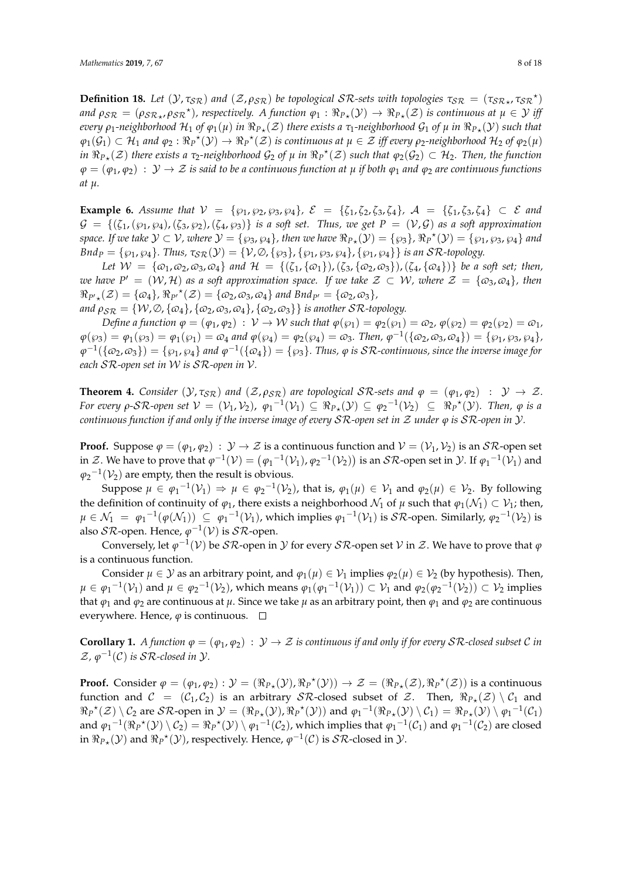**Definition 18.** Let  $(Y, \tau_{SR})$  and  $(Z, \rho_{SR})$  be topological SR-sets with topologies  $\tau_{SR} = (\tau_{SR*}, \tau_{SR}^*)$  $p_{\mathcal{SR}} = (p_{\mathcal{SR}_{\star}}, p_{\mathcal{SR}}^{\star})$ , respectively. A function  $\varphi_1 : \Re_{P_{\star}}(\mathcal{Y}) \to \Re_{P_{\star}}(\mathcal{Z})$  is continuous at  $\mu \in \mathcal{Y}$  iff *every*  $ρ_1$ -neighborhood  $H_1$  of  $φ_1(μ)$  *in*  $\Re p_*(Z)$  there exists a  $τ_1$ -neighborhood  $\mathcal{G}_1$  of  $μ$  *in*  $\Re p_*(\mathcal{Y})$  such that  $\varphi_1(\mathcal{G}_1) \subset \mathcal{H}_1$  and  $\varphi_2 : \Re_P^{\star}(\mathcal{Y}) \to \Re_P^{\star}(\mathcal{Z})$  is continuous at  $\mu \in \mathcal{Z}$  iff every  $\rho_2$ -neighborhood  $\mathcal{H}_2$  of  $\varphi_2(\mu)$ *in*  $\Re_{P*}(\mathcal{Z})$  *there exists a τ*<sub>2</sub>-neighborhood  $\mathcal{G}_2$  of  $\mu$  *in*  $\Re_P^{\star}(\mathcal{Z})$  *such that*  $\varphi_2(\mathcal{G}_2) \subset \mathcal{H}_2$ . Then, the function  $\varphi = (\varphi_1, \varphi_2) : \mathcal{Y} \to \mathcal{Z}$  *is said to be a continuous function at*  $\mu$  *if both*  $\varphi_1$  *and*  $\varphi_2$  *are continuous functions at µ.*

**Example 6.** Assume that  $V = \{\wp_1, \wp_2, \wp_3, \wp_4\}, \; \mathcal{E} = \{\zeta_1, \zeta_2, \zeta_3, \zeta_4\}, \; \mathcal{A} = \{\zeta_1, \zeta_3, \zeta_4\} \subset \mathcal{E}$  and  $G = \{(\zeta_1, (\wp_1, \wp_4), (\zeta_3, \wp_2), (\zeta_4, \wp_3)\}\$ is a soft set. Thus, we get  $P = (\mathcal{V}, \mathcal{G})$  as a soft approximation  $space.$  If we take  $\mathcal{Y} \subset \mathcal{V}$ , where  $\mathcal{Y} = \{\wp_3, \wp_4\}$ , then we have  $\Re_{P*}(\mathcal{Y}) = \{\wp_3\}$ ,  $\Re_P^{\star}(\mathcal{Y}) = \{\wp_1, \wp_3, \wp_4\}$  and  $Bnd_P = \{\wp_1, \wp_4\}.$  Thus,  $\tau_{SR}(\mathcal{Y}) = \{\mathcal{V}, \emptyset, \{\wp_3\}, \{\wp_1, \wp_3, \wp_4\}, \{\wp_1, \wp_4\}\}\$ is an  $\mathcal{SR}\text{-topology.}$ 

*Let*  $W = {\varphi_1, \varphi_2, \varphi_3, \varphi_4}$  *and*  $H = {\{\zeta_1, {\varphi_1}\}, {\zeta_3, {\{\varphi_2, \varphi_3\}}}, {\zeta_4, {\{\varphi_4\}}}\}$  *be a soft set; then, we have*  $P' = (W, \mathcal{H})$  *as a soft approximation space. If we take*  $\mathcal{Z} \subset W$ *, where*  $\mathcal{Z} = \{\omega_3, \omega_4\}$ *, then*  $\Re_{P' \star}(\mathcal{Z}) = \{ \omega_4 \}, \Re_{P'}{}^{\star}(\mathcal{Z}) = \{ \omega_2, \omega_3, \omega_4 \}$  and  $\text{Bnd}_{P'} = \{ \omega_2, \omega_3 \},$ 

*and*  $\rho_{\text{SR}} = \{W, \emptyset, \{\omega_4\}, \{\omega_2, \omega_3, \omega_4\}, \{\omega_2, \omega_3\}\}\$ is another SR-topology.

*Define a function*  $\varphi = (\varphi_1, \varphi_2) : V \to W$  *such that*  $\varphi(\varphi_1) = \varphi_2(\varphi_1) = \varphi_2$ ,  $\varphi(\varphi_2) = \varphi_2(\varphi_2) = \varphi_1$ ,  $\varphi(\wp_3) = \varphi_1(\wp_3) = \varphi_1(\wp_1) = \varphi_4$  and  $\varphi(\wp_4) = \varphi_2(\wp_4) = \varphi_3$ . Then,  $\varphi^{-1}(\{\varphi_2, \varphi_3, \varphi_4\}) = \{\wp_1, \wp_3, \wp_4\}$ ,  $\varphi^{-1}(\{\omega_2,\omega_3\})=\{\wp_1,\wp_4\}$  and  $\varphi^{-1}(\{\omega_4\})=\{\wp_3\}$ . Thus,  $\varphi$  is SR-continuous, since the inverse image for *each* SR*-open set in* W *is* SR*-open in* V*.*

**Theorem 4.** *Consider* ( $\mathcal{Y}, \tau_{\mathcal{SR}}$ ) *and* ( $\mathcal{Z}, \rho_{\mathcal{SR}}$ ) *are topological*  $\mathcal{SR}\text{-sets}$  *and*  $\varphi = (\varphi_1, \varphi_2) : \mathcal{Y} \to \mathcal{Z}$ *. For every*  $\rho$ -SR-open set  $V = (V_1, V_2)$ ,  $\varphi_1^{-1}(V_1) \subseteq \Re_{P*}(V) \subseteq \varphi_2^{-1}(V_2) \subseteq \Re_P^{\star}(V)$ . Then,  $\varphi$  is a *continuous function if and only if the inverse image of every* SR*-open set in* Z *under ϕ is* SR*-open in* Y*.*

**Proof.** Suppose  $\varphi = (\varphi_1, \varphi_2) : \mathcal{Y} \to \mathcal{Z}$  is a continuous function and  $\mathcal{V} = (\mathcal{V}_1, \mathcal{V}_2)$  is an  $\mathcal{SR}$ -open set in Z. We have to prove that  $\varphi^{-1}(\mathcal{V}) = (\varphi_1^{-1}(\mathcal{V}_1), \varphi_2^{-1}(\mathcal{V}_2))$  is an SR-open set in  $\mathcal{Y}$ . If  $\varphi_1^{-1}(\mathcal{V}_1)$  and  $\varphi_2^{-1}(\mathcal{V}_2)$  are empty, then the result is obvious.

Suppose  $\mu \in \varphi_1^{-1}(\mathcal{V}_1) \Rightarrow \mu \in \varphi_2^{-1}(\mathcal{V}_2)$ , that is,  $\varphi_1(\mu) \in \mathcal{V}_1$  and  $\varphi_2(\mu) \in \mathcal{V}_2$ . By following the definition of continuity of  $\varphi_1$ , there exists a neighborhood  $\mathcal{N}_1$  of  $\mu$  such that  $\varphi_1(\mathcal{N}_1) \subset \mathcal{V}_1$ ; then,  $\mu \in \mathcal{N}_1 \; = \; \varphi_1^{-1}(\varphi(\mathcal{N}_1)) \; \subseteq \; \varphi_1^{-1}(\mathcal{V}_1)$ , which implies  $\varphi_1^{-1}(\mathcal{V}_1)$  is  $\mathcal{SR}$ -open. Similarly,  $\varphi_2^{-1}(\mathcal{V}_2)$  is also  $\mathcal{SR}$ -open. Hence,  $\varphi^{-1}(\mathcal{V})$  is  $\mathcal{SR}$ -open.

Conversely, let  $\varphi^{-1}(\mathcal{V})$  be  $\mathcal{SR}$ -open in  $\mathcal Y$  for every  $\mathcal{SR}$ -open set  $\mathcal V$  in  $\mathcal Z$ . We have to prove that  $\varphi$ is a continuous function.

Consider  $\mu \in \mathcal{Y}$  as an arbitrary point, and  $\varphi_1(\mu) \in \mathcal{V}_1$  implies  $\varphi_2(\mu) \in \mathcal{V}_2$  (by hypothesis). Then,  $\mu \in \varphi_1^{-1}(\mathcal{V}_1)$  and  $\mu \in \varphi_2^{-1}(\mathcal{V}_2)$ , which means  $\varphi_1(\varphi_1^{-1}(\mathcal{V}_1)) \subset \mathcal{V}_1$  and  $\varphi_2(\varphi_2^{-1}(\mathcal{V}_2)) \subset \mathcal{V}_2$  implies that  $\varphi_1$  and  $\varphi_2$  are continuous at  $\mu$ . Since we take  $\mu$  as an arbitrary point, then  $\varphi_1$  and  $\varphi_2$  are continuous everywhere. Hence,  $\varphi$  is continuous.  $\square$ 

**Corollary 1.** *A function*  $\varphi = (\varphi_1, \varphi_2) : \mathcal{Y} \to \mathcal{Z}$  *is continuous if and only if for every*  $\mathcal{SR}\text{-}closed$  subset  $\mathcal{C}$  *in*  $\mathcal{Z}, \varphi^{-1}(\mathcal{C})$  is  $\mathcal{SR}\text{-closed in }\mathcal{Y}.$ 

**Proof.** Consider  $\varphi = (\varphi_1, \varphi_2) : \mathcal{Y} = (\Re_{P*}(\mathcal{Y}), \Re_P^{\star}(\mathcal{Y})) \to \mathcal{Z} = (\Re_{P*}(\mathcal{Z}), \Re_P^{\star}(\mathcal{Z}))$  is a continuous function and  $C = (C_1, C_2)$  is an arbitrary *SR*-closed subset of Z. Then,  $\Re_{P*}(Z) \setminus C_1$  and  $\Re_P^{\star}(\mathcal{Z}) \setminus \mathcal{C}_2$  are  $\mathcal{SR}$ -open in  $\mathcal{Y} = (\Re_{P_{\star}}(\mathcal{Y}), \Re_P^{\star}(\mathcal{Y}))$  and  $\varphi_1^{-1}(\Re_{P_{\star}}(\mathcal{Y}) \setminus \mathcal{C}_1) = \Re_{P_{\star}}(\mathcal{Y}) \setminus \varphi_1^{-1}(\mathcal{C}_1)$ and  $\varphi_1^{-1}(\Re_P^{\star}(\mathcal{Y}) \setminus C_2) = \Re_P^{\star}(\mathcal{Y}) \setminus \varphi_1^{-1}(\mathcal{C}_2)$ , which implies that  $\varphi_1^{-1}(\mathcal{C}_1)$  and  $\varphi_1^{-1}(\mathcal{C}_2)$  are closed in  $\Re_{P*}(\mathcal{Y})$  and  $\Re_P^{\star}(\mathcal{Y})$ , respectively. Hence,  $\varphi^{-1}(\mathcal{C})$  is  $\mathcal{SR}\text{-closed}$  in  $\mathcal{Y}$ .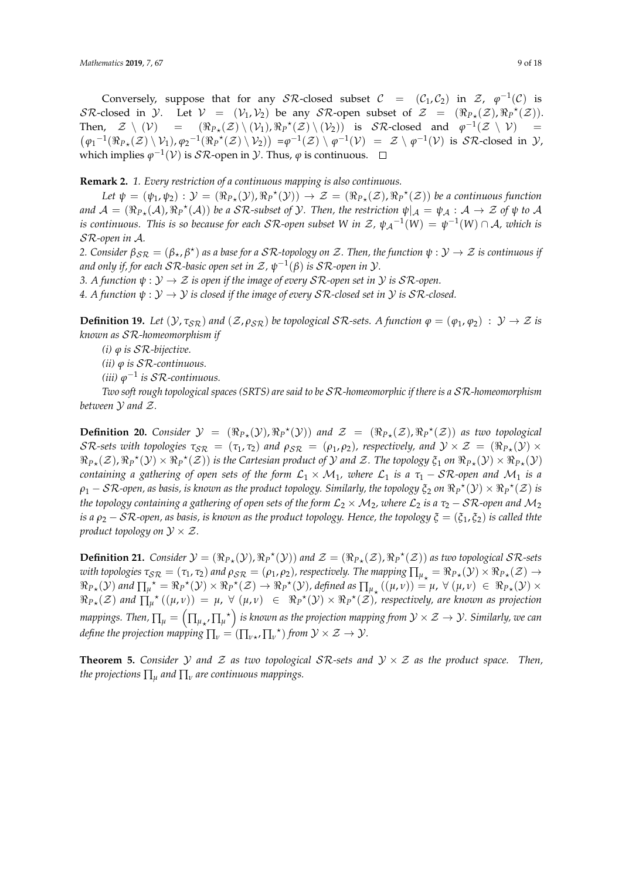Conversely, suppose that for any  $\mathcal{SR}\text{-closed subset } \mathcal{C} = (\mathcal{C}_1, \mathcal{C}_2)$  in  $\mathcal{Z}, \varphi^{-1}(\mathcal{C})$  is SR-closed in  $\mathcal{Y}$ . Let  $\mathcal{V} = (\mathcal{V}_1, \mathcal{V}_2)$  be any SR-open subset of  $\mathcal{Z} = (\Re_{P_{\mathcal{X}}}(\mathcal{Z}), \Re_P^{\star}(\mathcal{Z}))$ . Then,  $\mathcal{Z} \setminus (\mathcal{V})$  =  $(\mathcal{Z}) \setminus (\mathcal{V}_1), \Re_P{}^{\star}(\mathcal{Z}) \setminus (\mathcal{V}_2)$  is  $\mathcal{SR}\text{-closed}$  and  $\varphi^{-1}(\mathcal{Z} \setminus \mathcal{V}) =$  $(\varphi_1^{-1}(\Re_{P*}(\mathcal{Z}) \setminus \mathcal{V}_1), \varphi_2^{-1}(\Re_{P}^{\star}(\mathcal{Z}) \setminus \mathcal{V}_2)) = \varphi^{-1}(\mathcal{Z}) \setminus \varphi^{-1}(\mathcal{V}) = \mathcal{Z} \setminus \varphi^{-1}(\mathcal{V})$  is  $\mathcal{SR}\text{-closed in } \mathcal{Y}$ , which implies  $\varphi^{-1}(\mathcal{V})$  is  $\mathcal{SR}$ -open in  $\mathcal{Y}$ . Thus,  $\varphi$  is continuous.

**Remark 2.** *1. Every restriction of a continuous mapping is also continuous.*

Let  $\psi = (\psi_1, \psi_2) : \mathcal{Y} = (\Re_{P*}(\mathcal{Y}), \Re_P^{\star}(\mathcal{Y})) \to \mathcal{Z} = (\Re_{P*}(\mathcal{Z}), \Re_P^{\star}(\mathcal{Z}))$  be a continuous function  $\mathcal{A} = (\Re_{P*}(\mathcal{A}), \Re_{P}{}^{*}(\mathcal{A}))$  be a SR-subset of  $\mathcal{Y}$ . Then, the restriction  $\psi|_{\mathcal{A}} = \psi_{\mathcal{A}}: \mathcal{A} \to \mathcal{Z}$  of  $\psi$  to  $\mathcal{A}$ *is continuous. This is so because for each*  $S\mathcal{R}$ *-open subset W in Z,*  $\psi_A^{-1}(W) = \psi^{-1}(W) \cap A$ *, which is* SR*-open in* A*.*

*2. Consider*  $\beta_{\mathcal{SR}} = (\beta_\star, \beta^\star)$  as a base for a  $\mathcal{SR}$ -topology on Z. Then, the function  $\psi: \mathcal{Y} \to \mathcal{Z}$  is continuous if *and only if, for each SR-basic open set in Z,*  $\psi^{-1}(\beta)$  *is SR-open in*  $\mathcal{Y}$ *.* 

*3. A function*  $\psi : \mathcal{Y} \to \mathcal{Z}$  *is open if the image of every SR-open set in*  $\mathcal{Y}$  *is SR-open.* 

*4. A function*  $\psi : \mathcal{Y} \to \mathcal{Y}$  *is closed if the image of every SR-closed set in*  $\mathcal{Y}$  *is SR-closed.* 

**Definition 19.** Let  $(\mathcal{Y}, \tau_{SR})$  and  $(\mathcal{Z}, \rho_{SR})$  be topological  $SR$ -sets. A function  $\varphi = (\varphi_1, \varphi_2) : \mathcal{Y} \to \mathcal{Z}$  is *known as* SR*-homeomorphism if*

*(i) ϕ is* SR*-bijective.*

*(ii) ϕ is* SR*-continuous.*

*(iii) ϕ* −1 *is* SR*-continuous.*

*Two soft rough topological spaces (SRTS) are said to be* SR*-homeomorphic if there is a* SR*-homeomorphism between* Y *and* Z*.*

**Definition 20.** *Consider*  $\mathcal{Y} = (\Re_{P*}(\mathcal{Y}), \Re_{P}^*(\mathcal{Y}))$  *and*  $\mathcal{Z} = (\Re_{P*}(\mathcal{Z}), \Re_{P}^*(\mathcal{Z}))$  *as two topological*  $\mathcal{SR}\text{-sets with topologies }\tau_{\mathcal{SR}}\ =\ (\tau_1,\tau_2)\ \text{and}\ \rho_{\mathcal{SR}}\ =\ (\rho_1,\rho_2),\ \text{respectively, and}\ \mathcal{Y}\times\mathcal{Z}\ =\ (\Re_{P\star}(\mathcal{Y})\times\mathcal{Z})\times\mathcal{R}$  $\Re_{P_{\star}}(\mathcal{Z})$ ,  $\Re_{P}^{\star}(\mathcal{Y}) \times \Re_{P}^{\star}(\mathcal{Z})$ ) is the Cartesian product of  $\mathcal Y$  and  $\mathcal Z$ . The topology  $\xi_1$  on  $\Re_{P_{\star}}(\mathcal{Y}) \times \Re_{P_{\star}}(\mathcal{Y})$ *containing a gathering of open sets of the form*  $\mathcal{L}_1 \times \mathcal{M}_1$ *, where*  $\mathcal{L}_1$  *is a*  $\tau_1$  – SR-open and  $\mathcal{M}_1$  *is a*  $\rho_1-\mathcal{SR}$ -open, as basis, is known as the product topology. Similarly, the topology  $\xi_2$  on  $\Re_P^{-\star}(\mathcal{Y})\times\Re_P^{-\star}(\mathcal{Z})$  is *the topology containing a gathering of open sets of the form*  $\mathcal{L}_2 \times \mathcal{M}_2$ *, where*  $\mathcal{L}_2$  *is a*  $\tau_2$  *– SR-open and*  $\mathcal{M}_2$ *is a ρ*<sup>2</sup> − SR*-open, as basis, is known as the product topology. Hence, the topology ξ* = (*ξ*1, *ξ*2) *is called thte product topology on*  $\mathcal{Y} \times \mathcal{Z}$ *.* 

**Definition 21.** *Consider*  $\mathcal{Y} = (\Re_{P*}(\mathcal{Y}), \Re_{P}^*(\mathcal{Y}))$  *and*  $\mathcal{Z} = (\Re_{P*}(\mathcal{Z}), \Re_{P}^*(\mathcal{Z}))$  *as two topological*  $\mathcal{SR}\text{-sets}$ *with topologies*  $\tau_{S\mathcal{R}} = (\tau_1, \tau_2)$  and  $\rho_{S\mathcal{R}} = (\rho_1, \rho_2)$ , respectively. The mapping  $\prod_{\mu_\star} = \Re_{P_\star}(\mathcal{Y}) \times \Re_{P_\star}(\mathcal{Z}) \to$  $\Re_{P*}(\mathcal{Y})$  and  $\prod_{\mu} \star = \Re_{P} \star (\mathcal{Y}) \times \Re_{P} \star (\mathcal{Z}) \to \Re_{P} \star (\mathcal{Y})$ , defined as  $\prod_{\mu} \star ((\mu, \nu)) = \mu$ ,  $\forall (\mu, \nu) \in \Re_{P*}(\mathcal{Y}) \times$  $\Re_{P*}(\mathcal{Z})$  and  $\prod_{\mu}^{\star}((\mu,\nu)) = \mu$ ,  $\forall$   $(\mu,\nu) \in \Re_P^{\star}(\mathcal{Y}) \times \Re_P^{\star}(\mathcal{Z})$ , respectively, are known as projection mappings. Then,  $\prod_\mu=\left(\prod_{\mu_{\star'}}\prod_{\mu^{\star}}\right)$  is known as the projection mapping from  $\mathcal{Y}\times\mathcal{Z}\to\mathcal{Y}$ . Similarly, we can *define the projection mapping*  $\prod_{\nu} = (\prod_{\nu\star}, \prod_{\nu}^{\star})$  *from*  $\mathcal{Y}\times\mathcal{Z}\rightarrow\mathcal{Y}$ *.* 

**Theorem 5.** *Consider*  $Y$  *and*  $Z$  *as two topological*  $S \mathcal{R}$ -sets and  $Y \times Z$  *as the product space. Then, the projections* ∏*<sup>µ</sup> and* ∏*<sup>ν</sup> are continuous mappings.*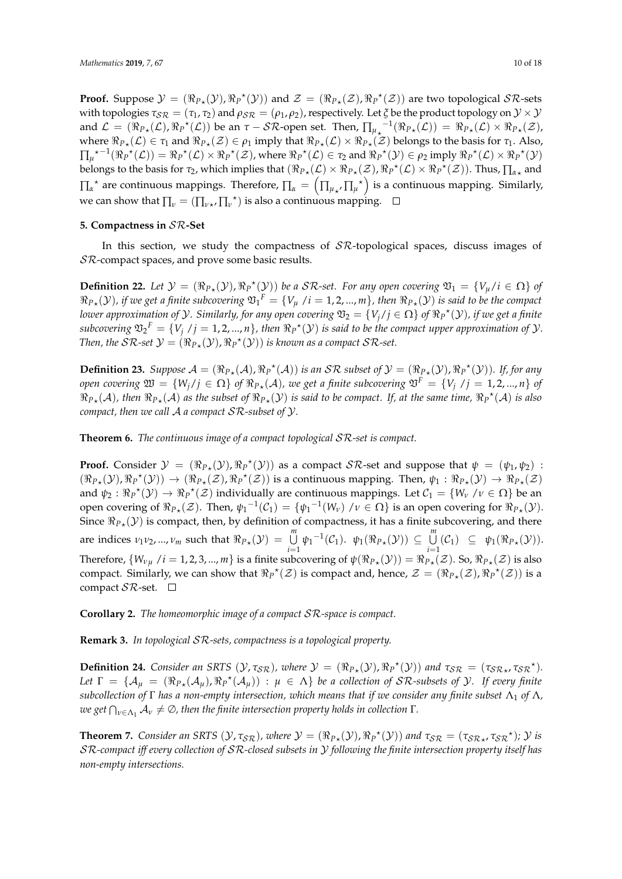**Proof.** Suppose  $\mathcal{Y} = (\Re_{P*}(\mathcal{Y}), \Re_P^{\star}(\mathcal{Y}))$  and  $\mathcal{Z} = (\Re_{P*}(\mathcal{Z}), \Re_P^{\star}(\mathcal{Z}))$  are two topological  $\mathcal{SR}$ -sets with topologies  $\tau_{\text{SR}} = (\tau_1, \tau_2)$  and  $\rho_{\text{SR}} = (\rho_1, \rho_2)$ , respectively. Let  $\xi$  be the product topology on  $\mathcal{Y} \times \mathcal{Y}$ and  $\mathcal{L} = (\Re_{P*}(\mathcal{L}), \Re_P^{\star}(\mathcal{L}))$  be an  $\tau - \mathcal{SR}$ -open set. Then,  $\prod_{\mu_{\star}}^{-1}(\Re_{P*}(\mathcal{L})) = \Re_{P*}(\mathcal{L}) \times \Re_{P*}(\mathcal{Z})$ , where  $\Re_{P*}(\mathcal{L}) \in \tau_1$  and  $\Re_{P*}(\mathcal{Z}) \in \rho_1$  imply that  $\Re_{P*}(\mathcal{L}) \times \Re_{P*}(\mathcal{Z})$  belongs to the basis for  $\tau_1$ . Also,  $\prod_{\mu}^{\mu}$ <sup> $\star$ </sup> $^{-1}(\Re_P^{\star}(\mathcal{L})) = \Re_P^{\star}(\mathcal{L}) \times \Re_P^{\star}(\mathcal{Z})$ , where  $\Re_P^{\star}(\mathcal{L}) \in \tau_2$  and  $\Re_P^{\star}(\mathcal{Y}) \in \rho_2$  imply  $\Re_P^{\star}(\mathcal{L}) \times \Re_P^{\star}(\mathcal{Y})$ belongs to the basis for  $\tau_2$ , which implies that  $(\Re_{P\star}(\mathcal{L})\times \Re_{P\star}(\mathcal{Z}), \Re_P{}^\star(\mathcal{L})\times \Re_P{}^\star(\mathcal{Z}))$ . Thus,  $\prod_{\alpha\star}$  and  $\prod_{\alpha}^*$  are continuous mappings. Therefore,  $\prod_{\alpha} = \left(\prod_{\mu_{\alpha'}} \prod_{\mu^*}\right)$  is a continuous mapping. Similarly, we can show that  $\prod_{\nu} = (\prod_{\nu\star'} \prod_{\nu'}^{\star})$  is also a continuous mapping.

## <span id="page-9-0"></span>**5. Compactness in** SR**-Set**

In this section, we study the compactness of  $\mathcal{SR}\text{-topological spaces}$ , discuss images of SR-compact spaces, and prove some basic results.

**Definition 22.** Let  $\mathcal{Y} = (\Re_{P_{\star}}(\mathcal{Y}), \Re_{P}^{\star}(\mathcal{Y}))$  be a SR-set. For any open covering  $\mathfrak{V}_1 = \{V_{\mu}/i \in \Omega\}$  of  $\Re_{P*}(\mathcal{Y})$ , if we get a finite subcovering  $\mathfrak{V}_1^F=\{V_\mu\ /i=1,2,...,m\}$ , then  $\Re_{P*}(\mathcal{Y})$  is said to be the compact *lower approximation of*  $Y$ *. Similarly, for any open covering*  $\mathfrak{V}_2=\{V_j/j\in\Omega\}$  *of*  $\Re_P{}^\star(\mathcal{Y})$ *, if we get a finite*  $subcovering \ \mathfrak{V}_2{}^F=\{V_j\ / j=1,2,...,n\}$ , then  $\Re_P{}^\star(\mathcal{Y})$  is said to be the compact upper approximation of  $\mathcal{Y}.$ *Then, the SR-set*  $\mathcal{Y} = (\Re_{P_{\star}}(\mathcal{Y}), \Re_{P}^{\star}(\mathcal{Y}))$  *is known as a compact SR-set.* 

**Definition 23.** *Suppose*  $A = (\Re_{P*}(A), \Re_{P}^{\star}(A))$  *is an SR subset of*  $\mathcal{Y} = (\Re_{P*}(\mathcal{Y}), \Re_{P}^{\star}(\mathcal{Y}))$ *. If, for any*  $p$  *open covering*  $\mathfrak{W} = \{W_j / j \in \Omega\}$  *of*  $\Re_{P*}(\mathcal{A})$ *, we get a finite subcovering*  $\mathfrak{V}^F = \{V_j \text{ / } j = 1, 2, ..., n\}$  *of*  $\Re_{P\star}(\mathcal{A})$ , then  $\Re_{P\star}(\mathcal{A})$  as the subset of  $\Re_{P\star}(\mathcal{Y})$  is said to be compact. If, at the same time,  $\Re_P{}^\star(\mathcal{A})$  is also *compact, then we call* A *a compact* SR*-subset of* Y*.*

**Theorem 6.** *The continuous image of a compact topological* SR*-set is compact.*

**Proof.** Consider  $\mathcal{Y} = (\Re_{P*}(\mathcal{Y}), \Re_{P}^{*}(\mathcal{Y}))$  as a compact  $\mathcal{SR}$ -set and suppose that  $\psi = (\psi_1, \psi_2)$ :  $(\Re_{P*}(\mathcal{Y}), \Re_P{}^{\star}(\mathcal{Y})) \rightarrow (\Re_{P*}(\mathcal{Z}), \Re_P{}^{\star}(\mathcal{Z}))$  is a continuous mapping. Then,  $\psi_1 : \Re_{P*}(\mathcal{Y}) \rightarrow \Re_{P*}(\mathcal{Z})$ and  $\psi_2 : \Re_P^*(\mathcal{Y}) \to \Re_P^*(\mathcal{Z})$  individually are continuous mappings. Let  $\mathcal{C}_1 = \{W_\nu \mid \nu \in \Omega\}$  be an open covering of  $\Re_{P*}(\mathcal{Z})$ . Then,  $\psi_1^{-1}(\mathcal{C}_1) = \{\psi_1^{-1}(W_\nu) \mid \nu \in \Omega\}$  is an open covering for  $\Re_{P*}(\mathcal{Y})$ . Since  $\Re_{P_{\star}}(\mathcal{Y})$  is compact, then, by definition of compactness, it has a finite subcovering, and there are indices  $\nu_1 \nu_2, ..., \nu_m$  such that  $\Re_{P*}(\mathcal{Y}) = \bigcup_{i=1}^m \psi_1^{-1}(\mathcal{C}_1)$ .  $\psi_1(\Re_{P*}(\mathcal{Y})) \subseteq \bigcup_{i=1}^m \psi_i^{-1}(\mathcal{C}_1)$ .  $\bigcup_{i=1}^{\mathcal{U}}(\mathcal{C}_1) \subseteq \psi_1(\Re_{P_{\star}}(\mathcal{Y})).$ Therefore,  $\{W_{\nu\mu} \mid i=1,2,3,...,m\}$  is a finite subcovering of  $\psi(\Re_{P*}(\mathcal{Y})) = \Re_{P*}(\mathcal{Z})$ . So,  $\Re_{P*}(\mathcal{Z})$  is also compact. Similarly, we can show that  $\Re_P^{\star}(\mathcal{Z})$  is compact and, hence,  $\mathcal{Z} = (\Re_{P*}(\mathcal{Z}), \Re_P^{\star}(\mathcal{Z}))$  is a compact  $S\mathcal{R}$ -set.  $\Box$ 

**Corollary 2.** *The homeomorphic image of a compact SR-space is compact.* 

**Remark 3.** *In topological* SR*-sets, compactness is a topological property.*

**Definition 24.** *Consider an SRTS*  $(\mathcal{Y}, \tau_{\mathcal{SR}})$ *, where*  $\mathcal{Y} = (\Re_{P*}(\mathcal{Y}), \Re_{P}^{\star}(\mathcal{Y}))$  *and*  $\tau_{\mathcal{SR}} = (\tau_{\mathcal{SR}*}, \tau_{\mathcal{SR}}^{\star})$ *.*  $Let \Gamma = \{A_\mu = (\Re_{P_\star}(\mathcal{A}_\mu), \Re_{P_\star}(\mathcal{A}_\mu)) : \mu \in \Lambda\}$  be a collection of SR-subsets of  $\mathcal{Y}$ *. If every finite subcollection of* Γ *has a non-empty intersection, which means that if we consider any finite subset* Λ<sup>1</sup> *of* Λ*,*  $w$ e get  $\bigcap_{\nu\in\Lambda_1}\mathcal{A}_\nu\neq\emptyset$ , then the finite intersection property holds in collection  $\Gamma.$ 

**Theorem 7.** *Consider an SRTS*  $(\mathcal{Y}, \tau_{\mathcal{SR}})$ *, where*  $\mathcal{Y} = (\Re_{P*}(\mathcal{Y}), \Re_{P}^{\star}(\mathcal{Y}))$  *and*  $\tau_{\mathcal{SR}} = (\tau_{\mathcal{SR}*}, \tau_{\mathcal{SR}}^{\star})$ *;*  $\mathcal{Y}$  *is* SR*-compact iff every collection of* SR*-closed subsets in* Y *following the finite intersection property itself has non-empty intersections.*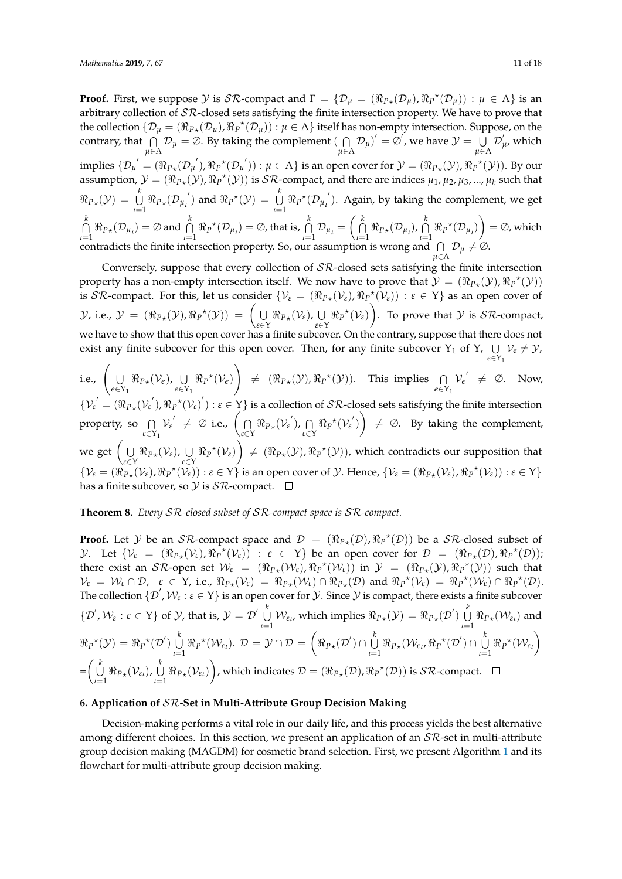**Proof.** First, we suppose  $\mathcal Y$  is  $\mathcal{SR}$ -compact and  $\Gamma = \{ \mathcal{D}_\mu = (\Re_{P*}(\mathcal{D}_\mu), \Re_P {}^{\star}(\mathcal{D}_\mu)) : \mu \in \Lambda \}$  is an arbitrary collection of  $\mathcal{SR}$ -closed sets satisfying the finite intersection property. We have to prove that the collection  $\{D_\mu = (\Re_{P_\star}(D_\mu), \Re_{P}^{\star}(D_\mu)) : \mu \in \Lambda\}$  itself has non-empty intersection. Suppose, on the contrary, that  $\bigcap$  $\bigcap_{\mu \in \Lambda} \mathcal{D}_{\mu} = \emptyset$ . By taking the complement ( $\bigcap_{\mu \in \Lambda}$  $\bigcap_{\mu \in \Lambda} \mathcal{D}_{\mu}$ <sup>'</sup> = ∅', we have  $\mathcal{Y} = \bigcup_{\mu \in \Lambda}$  $\bigcup_{\mu \in \Lambda} \mathcal{D}'_{\mu}$ , which implies  $\{\mathcal{D}_{\mu}^{'}=(\Re_{P*}(\mathcal{D}_{\mu}^{'}), \Re_{P}^{*}(\mathcal{D}_{\mu}^{'})) : \mu \in \Lambda\}$  is an open cover for  $\mathcal{Y}=(\Re_{P*}(\mathcal{Y}), \Re_{P}^{*}(\mathcal{Y}))$ . By our assumption,  $\mathcal{Y} = (\Re_{P*}(\mathcal{Y}), \Re_P^*(\mathcal{Y}))$  is  $\mathcal{SR}$ -compact, and there are indices  $\mu_1, \mu_2, \mu_3, ..., \mu_k$  such that  $\Re_{P_{\star}}(\mathcal{Y}) = \bigcup_{k=1}^{k}$  $\bigcup_{\iota=1}^k \Re_{P_{\star}}(\mathcal{D_{\mu}}_{\iota}^{\prime})$  and  $\Re_{P}^{\star}(\mathcal{Y}) = \bigcup_{\iota=1}^k$  $\bigcup_{\iota=1}^{\infty} \Re_P^{\star}(\mathcal{D}_{\mu_{\iota}}')$ . Again, by taking the complement, we get T *k*  $\bigcap_{\iota=1}^k \Re_{P_{\star}}(\mathcal{D}_{\mu_{\iota}}) = \emptyset$  and  $\bigcap_{\iota=1}^k$  $\bigcap_{\iota=1}^k \Re_P^{\star}(\mathcal{D}_{\mu_{\iota}}) = \emptyset$ , that is,  $\bigcap_{\iota=1}^k$  $\bigcap_{\iota=1} \mathcal{D}_{\mu_{\iota}} =$  $\left(\begin{array}{c} k \\ 0 \end{array}\right)$  $\bigcap_{\iota=1}^k \Re_{P_{\star}}(\mathcal{D}_{\mu_{\iota}}), \bigcap_{\iota=1}^k$  $\bigcap_{\iota=1}^{\kappa} \Re_{P}{}^{\star}(\mathcal{D}_{\mu_{\iota}})$  $\setminus$  $= \oslash$ , which contradicts the finite intersection property. So, our assumption is wrong and  $\bigcap$  $\bigcap_{\mu \in \Lambda} \mathcal{D}_{\mu} \neq \emptyset.$ 

Conversely, suppose that every collection of  $S\mathcal{R}$ -closed sets satisfying the finite intersection property has a non-empty intersection itself. We now have to prove that  $\mathcal{Y} = (\Re_{P*}(\mathcal{Y}), \Re_P^{\star}(\mathcal{Y}))$ is  $\mathcal{SR}$ -compact. For this, let us consider  $\{ \mathcal{V}_\varepsilon = (\Re_{P_\star}(\mathcal{V}_\varepsilon), \Re_{P_\star}(\mathcal{V}_\varepsilon)) : \varepsilon \in Y \}$  as an open cover of  $\mathcal{Y}$ , i.e.,  $\mathcal{Y} = (\Re_{P*}(\mathcal{Y}), \Re_{P}^{\star}(\mathcal{Y})) =$  $\left( \begin{array}{c} 1 \end{array} \right)$  $\bigcup_{\varepsilon \in Y} \Re_{P*}(\mathcal{V}_{\varepsilon}), \bigcup_{\varepsilon \in Y}$  $\bigcup_{\varepsilon \in Y} \Re_P^{\star}(\mathcal{V}_{\varepsilon})$  $\setminus$ . To prove that  $Y$  is  $S\mathcal{R}$ -compact, we have to show that this open cover has a finite subcover. On the contrary, suppose that there does not exist any finite subcover for this open cover. Then, for any finite subcover  $Y_1$  of  $Y$ ,  $\cup$  $\bigcup_{\epsilon \in \Upsilon_1} \mathcal{V}_{\epsilon} \neq \mathcal{Y},$ 

i.e.,  $\Big($  U  $\bigcup_{\epsilon \in Y_1} \Re_{P*}(\mathcal{V}_{\epsilon}), \bigcup_{\epsilon \in Y_1}$  $\bigcup_{\epsilon \in Y_1} \Re_P^{\star}(\mathcal{V}_{\epsilon})$  $\setminus$  $\neq (\Re_{P*}(\mathcal{Y}), \Re_P{}^{\star}(\mathcal{Y}))$ . This implies  $\bigcap_{\epsilon \in Y_1} \mathcal{V}_{\epsilon}' \neq \emptyset$ . Now,  $\{V_{\epsilon} = (\Re_{P_{\star}}(V_{\epsilon}), \Re_{P}^{\star}(V_{\epsilon})) : \epsilon \in Y\}$  is a collection of  $\mathcal{SR}$ -closed sets satisfying the finite intersection property, so  $\bigcap$  $\bigcap_{\varepsilon \in Y_1} \mathcal{V}_{\varepsilon} \neq \emptyset$  i.e.,  $\left(\bigcap_{\varepsilon \in Y_1}$  $\bigcap_{\varepsilon \in Y} \Re_{P\star}(\mathcal{V}_{\varepsilon}^{'}), \bigcap_{\varepsilon \in Y}$  $\bigcap_{\varepsilon \in Y} \Re_P^{\star}(\mathcal{V}_{\varepsilon}^{\prime})$  $\setminus$  $\neq \emptyset$ . By taking the complement, we get  $\Big( \bigcup$  $\bigcup_{\varepsilon \in Y} \Re_{P*}(\mathcal{V}_{\varepsilon}), \bigcup_{\varepsilon \in Y}$  $\bigcup_{\varepsilon \in Y} \Re_P^{\star}(\mathcal{V}_{\varepsilon})$  $\setminus$  $\neq (\Re_{P*}(\mathcal{Y}), \Re_{P}^{\star}(\mathcal{Y}))$ , which contradicts our supposition that  $\{V_{\varepsilon} = (\Re_{P_{\star}}(V_{\varepsilon}), \Re_{P}^{\star}(V_{\varepsilon})) : \varepsilon \in Y\}$  is an open cover of  $\mathcal{Y}$ . Hence,  $\{V_{\varepsilon} = (\Re_{P_{\star}}(V_{\varepsilon}), \Re_{P}^{\star}(V_{\varepsilon})) : \varepsilon \in Y\}$ has a finite subcover, so  $\mathcal Y$  is  $\mathcal{SR}$ -compact.  $\Box$ 

**Theorem 8.** *Every* SR*-closed subset of* SR*-compact space is* SR*-compact.*

**Proof.** Let Y be an SR-compact space and  $\mathcal{D} = (\Re_{P*}(\mathcal{D}), \Re_{P}^{\star}(\mathcal{D}))$  be a SR-closed subset of  $\mathcal{Y}$ . Let  $\{\mathcal{V}_{\varepsilon} = (\Re_{P_{\star}}(\mathcal{V}_{\varepsilon}), \Re_{P}^{\star}(\mathcal{V}_{\varepsilon})) : \varepsilon \in Y\}$  be an open cover for  $\mathcal{D} = (\Re_{P_{\star}}(\mathcal{D}), \Re_{P}^{\star}(\mathcal{D}))$ ; there exist an  $S\mathcal{R}$ -open set  $\mathcal{W}_{\varepsilon} = (\Re_{P*}(\mathcal{W}_{\varepsilon}), \Re_{P} {}^{*}(\mathcal{W}_{\varepsilon}))$  in  $\mathcal{Y} = (\Re_{P*}(\mathcal{Y}), \Re_{P} {}^{*}(\mathcal{Y}))$  such that  $\mathcal{V}_{\varepsilon} = \mathcal{W}_{\varepsilon} \cap \mathcal{D}, \quad \varepsilon \in \Upsilon$ , i.e.,  $\Re_{P_{\star}}(\mathcal{V}_{\varepsilon}) = \Re_{P_{\star}}(\mathcal{W}_{\varepsilon}) \cap \Re_{P_{\star}}(\mathcal{D})$  and  $\Re_{P}^{\star}(\mathcal{V}_{\varepsilon}) = \Re_{P}^{\star}(\mathcal{W}_{\varepsilon}) \cap \Re_{P}^{\star}(\mathcal{D})$ . The collection  $\{\mathcal{D}', \mathcal{W}_\varepsilon : \varepsilon \in Y\}$  is an open cover for  $\mathcal{Y}$ . Since  $\mathcal{Y}$  is compact, there exists a finite subcover  $\{\mathcal{D}', \mathcal{W}_{\varepsilon} : \varepsilon \in \Upsilon\}$  of  $\mathcal{Y}$ , that is,  $\mathcal{Y} = \mathcal{D}' \bigcup_{k=1}^{k}$  $\bigcup_{\iota=1}^k \mathcal{W}_{\varepsilon\iota}$ , which implies  $\Re_{P_{\star}}(\mathcal{Y}) = \Re_{P_{\star}}(\mathcal{D}') \bigcup_{\iota=1}^k$  $\bigcup_{\iota=1} \Re_{P_{\star}}(\mathcal{W}_{\varepsilon_{\iota}})$  and  $\Re_P^{\;\star}(\mathcal{Y})\,=\,\Re_P^{\;\star}(\mathcal{D}')\,\bigcup^k_Q\,$  $\bigcup_{\iota=1}^n \Re_P^{\star}(\mathcal{W}_{\varepsilon_i}). \mathcal{D} = \mathcal{Y} \cap \mathcal{D} =$  $\sqrt{ }$  $\Re_{P\star}(\mathcal{D}')\cap \bigcup_{i=1}^k$  $\bigcup_{\iota=1}^k \Re_{P_{\star}}(\mathcal{W}_{\varepsilon\iota}, \Re_{P}^{\star}(\mathcal{D}') \cap \bigcup_{\iota=1}^k$  $\bigcup_{\iota=1}^{\kappa} \Re_{P}^{\star}(\mathcal{W}_{\varepsilon_{\iota}})$  $\setminus$ =  $\begin{pmatrix} k \\ 1 \end{pmatrix}$  $\bigcup_{\iota=1}^k \Re_{P_{\star}}(\mathcal{V}_{\varepsilon_{\iota}}), \bigcup_{\iota=1}^k$  $\bigcup_{\iota=1} \Re_{P_{\star}}(\mathcal{V}_{\varepsilon_{\iota}})$  $\setminus$ , which indicates  $\mathcal{D} = (\Re_{P*}(\mathcal{D}), \Re_P^{\star}(\mathcal{D}))$  is  $\mathcal{SR}$ -compact.

# <span id="page-10-0"></span>**6. Application of** SR**-Set in Multi-Attribute Group Decision Making**

Decision-making performs a vital role in our daily life, and this process yields the best alternative among different choices. In this section, we present an application of an  $\mathcal{SR}$ -set in multi-attribute group decision making (MAGDM) for cosmetic brand selection. First, we present Algorithm [1](#page-11-0) and its flowchart for multi-attribute group decision making.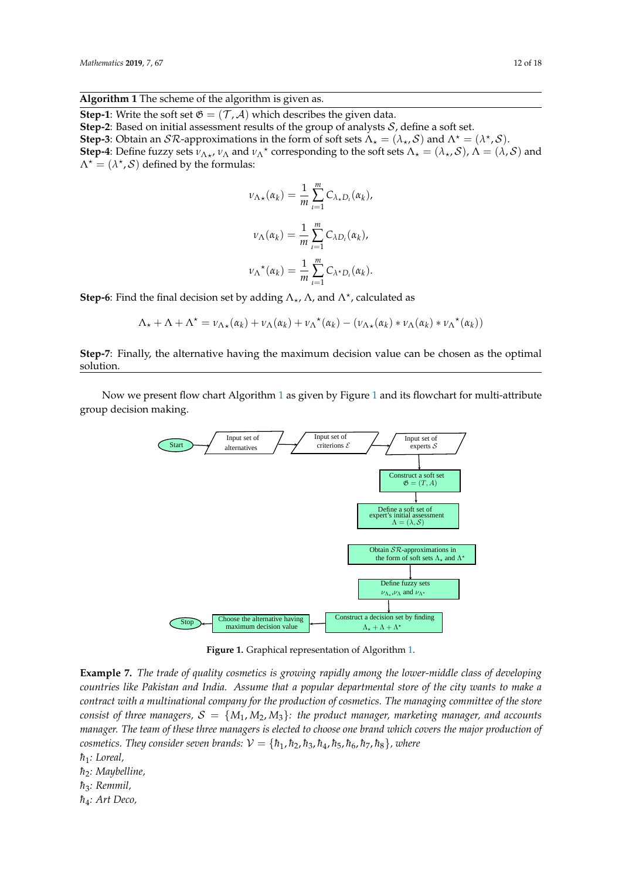## <span id="page-11-0"></span>**Algorithm 1** The scheme of the algorithm is given as.

**Step-1**: Write the soft set  $\mathfrak{G} = (\mathcal{T}, \mathcal{A})$  which describes the given data.

**Step-2**: Based on initial assessment results of the group of analysts S, define a soft set.

**Step-3**: Obtain an  $S\mathcal{R}$ -approximations in the form of soft sets  $\Lambda_{\star} = (\lambda_{\star}, S)$  and  $\Lambda^{\star} = (\lambda^{\star}, S)$ .

**Step-4**: Define fuzzy sets  $v_{\Lambda\star}$ ,  $v_{\Lambda}$  and  $v_{\Lambda}^*$  corresponding to the soft sets  $\Lambda_{\star} = (\lambda_{\star}, \mathcal{S})$ ,  $\Lambda = (\lambda, \mathcal{S})$  and  $\Lambda^* = (\lambda^*, \mathcal{S})$  defined by the formulas:

$$
\nu_{\Lambda\star}(\alpha_k) = \frac{1}{m} \sum_{l=1}^m C_{\lambda\star D_l}(\alpha_k),
$$
  

$$
\nu_{\Lambda}(\alpha_k) = \frac{1}{m} \sum_{l=1}^m C_{\lambda D_l}(\alpha_k),
$$
  

$$
\nu_{\Lambda}^{\star}(\alpha_k) = \frac{1}{m} \sum_{l=1}^m C_{\lambda^{\star}D_l}(\alpha_k).
$$

**Step-6**: Find the final decision set by adding  $\Lambda_{\star}$ ,  $\Lambda$ , and  $\Lambda^*$ , calculated as

$$
\Lambda_{\star} + \Lambda + \Lambda^{\star} = \nu_{\Lambda\star}(\alpha_k) + \nu_{\Lambda}(\alpha_k) + \nu_{\Lambda}^{\star}(\alpha_k) - (\nu_{\Lambda\star}(\alpha_k) * \nu_{\Lambda}(\alpha_k) * \nu_{\Lambda}^{\star}(\alpha_k))
$$

**Step-7**: Finally, the alternative having the maximum decision value can be chosen as the optimal solution.

<span id="page-11-1"></span>Now we present flow chart Algorithm  $1$  as given by Figure  $1$  and its flowchart for multi-attribute group decision making. Step-7: Finally the alternative having maximum decision value can be chosen as optimal solution.



Figure 1: Graphical representation of Algorithm **Figure 1.** Graphical representation of Algorithm [1.](#page-11-0)

Example 6.1. The trade of quality cosmetics is growing rapidly also among the lower-middle class *countries like Pakistan and India. Assume that a popular departmental store of the city wants to make a* contract with a multinational company for the production of cosmetics. The managing committee of the store consist of three managers,  $S = \{M_1, M_2, M_3\}$ : the product manager, marketing manager, and accounts manager. The team of these three managers is elected to choose one brand which covers the major production of cosmetics. They consider seven brands:  $\mathcal{V}=\{\hbar_1,\hbar_2,\hbar_3,\hbar_4,\hbar_5,\hbar_6,\hbar_7,\hbar_8\}$ , where **Example 7.** *The trade of quality cosmetics is growing rapidly among the lower-middle class of developing*

- $al,$  $\hbar_1$ *: Loreal*,
- $\theta$   $=$   $\theta$   $=$   $\theta$   $=$   $\theta$   $=$   $\theta$   $=$   $\theta$   $=$   $\theta$   $=$   $\theta$   $=$   $\theta$   $=$   $\theta$   $=$   $\theta$   $=$   $\theta$   $=$   $\theta$   $=$   $\theta$   $=$   $\theta$   $=$   $\theta$   $=$   $\theta$   $=$   $\theta$   $=$   $\theta$   $=$   $\theta$   $=$   $\theta$   $=$   $\theta$   $=$   $\theta$   $=$   $\theta$   $=$   $\theta$   $\hbar$ <sub>2</sub>: Maybelline,
- ~<sup>1</sup> :Loreal, *h*¯ <sup>3</sup>*: Remmil,*
- ~<sup>2</sup> :Maybelline, *h*¯ <sup>4</sup>*: Art Deco,*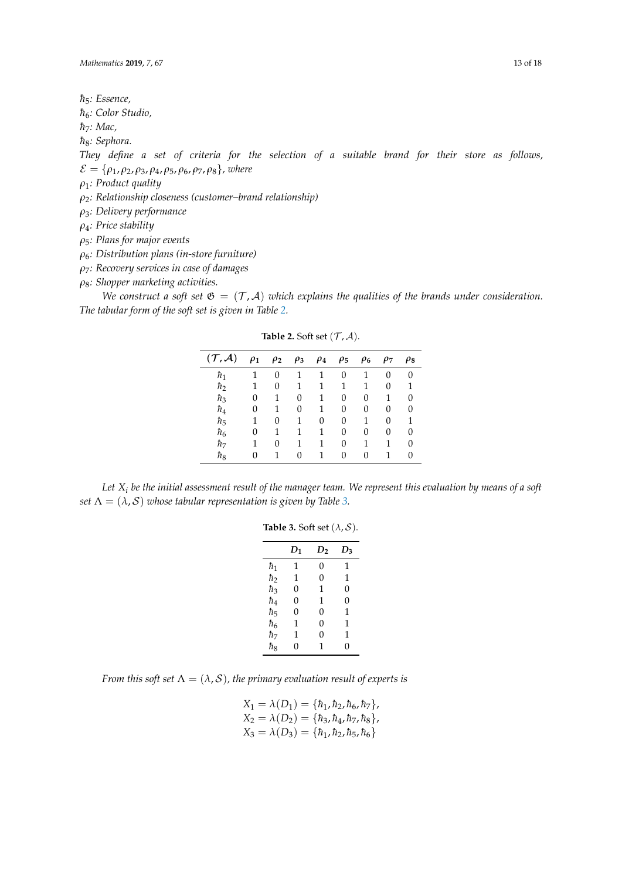$\hbar$ <sub>5</sub>*: Essence*,

 $\hbar_6$ : Color Studio,

*h*<sub>7</sub>*: Mac*,

 $\hbar$ <sub>8</sub>*: Sephora.* 

*They define a set of criteria for the selection of a suitable brand for their store as follows,*  $\mathcal{E} = \{\rho_1, \rho_2, \rho_3, \rho_4, \rho_5, \rho_6, \rho_7, \rho_8\}$ , where

- *ρ*1*: Product quality*
- *ρ*2*: Relationship closeness (customer–brand relationship)*
- *ρ*3*: Delivery performance*
- *ρ*4*: Price stability*
- *ρ*5*: Plans for major events*

*ρ*6*: Distribution plans (in-store furniture)*

*ρ*7*: Recovery services in case of damages*

*ρ*8*: Shopper marketing activities.*

<span id="page-12-0"></span>We construct a soft set  $\mathfrak{G} = (\mathcal{T}, \mathcal{A})$  *which explains the qualities of the brands under consideration. The tabular form of the soft set is given in Table [2.](#page-12-0)*

| $(\mathcal{T}, \mathcal{A})$ | $\rho_1$ | $\rho_2$ | $\rho_3$ | $\rho_4$ | $\rho_5$ | $\rho_6$ | $\rho_7$ | $\rho_8$ |
|------------------------------|----------|----------|----------|----------|----------|----------|----------|----------|
| $\hbar_1$                    | 1        | 0        | 1        | 1        | 0        | 1        | 0        | 0        |
| $\hbar_2$                    | 1        | 0        | 1        | 1        | 1        | 1        | 0        | 1        |
| $\hbar_3$                    | 0        | 1        | $\Omega$ | 1        | 0        | 0        | 1        | 0        |
| $\hbar_4$                    | 0        | 1        | $\Omega$ | 1        | 0        | 0        | 0        | 0        |
| $\hbar_5$                    | 1        | 0        | 1        | 0        | 0        | 1        | 0        | 1        |
| $\hbar_6$                    | 0        | 1        | 1        | 1        | 0        | 0        | 0        | 0        |
| $\hbar$ <sub>7</sub>         | 1        | 0        | 1        | 1        | 0        | 1        | 1        | O        |
| ${\color{black} \hbar_8}$    | 0        | 1        | $\Omega$ | 1        | 0        | 0        | 1        | 0        |

**Table 2.** Soft set  $(\mathcal{T}, \mathcal{A})$ .

<span id="page-12-1"></span>*Let X<sup>i</sup> be the initial assessment result of the manager team. We represent this evaluation by means of a soft set*  $\Lambda = (\lambda, \mathcal{S})$  *whose tabular representation is given by Table [3.](#page-12-1)* 

#### **Table 3.** Soft set  $(\lambda, \mathcal{S})$ .

|           | $D_1$ | D <sub>2</sub> | $D_3$    |
|-----------|-------|----------------|----------|
| ħ1        | 1     | 0              | 1        |
| $\hbar_2$ | 1     | $\overline{0}$ | 1        |
| ħз        | 0     | 1              | $\Omega$ |
| $\hbar_4$ | 0     | 1              | 0        |
| $\hbar_5$ | 0     | $\Omega$       | 1        |
| $\hbar_6$ | 1     | $\Omega$       | 1        |
| $\hbar_7$ | 1     | $\Omega$       | 1        |
| $\hbar_8$ | 0     | 1              | 0        |

*From this soft set*  $\Lambda = (\lambda, S)$ *, the primary evaluation result of experts is* 

|                                                               | $X_1 = \lambda(D_1) = \{\hbar_1, \hbar_2, \hbar_6, \hbar_7\},\$ |
|---------------------------------------------------------------|-----------------------------------------------------------------|
|                                                               | $X_2 = \lambda(D_2) = \{\hbar_3, \hbar_4, \hbar_7, \hbar_8\},\$ |
| $X_3 = \lambda(D_3) = \{\hbar_1, \hbar_2, \hbar_5, \hbar_6\}$ |                                                                 |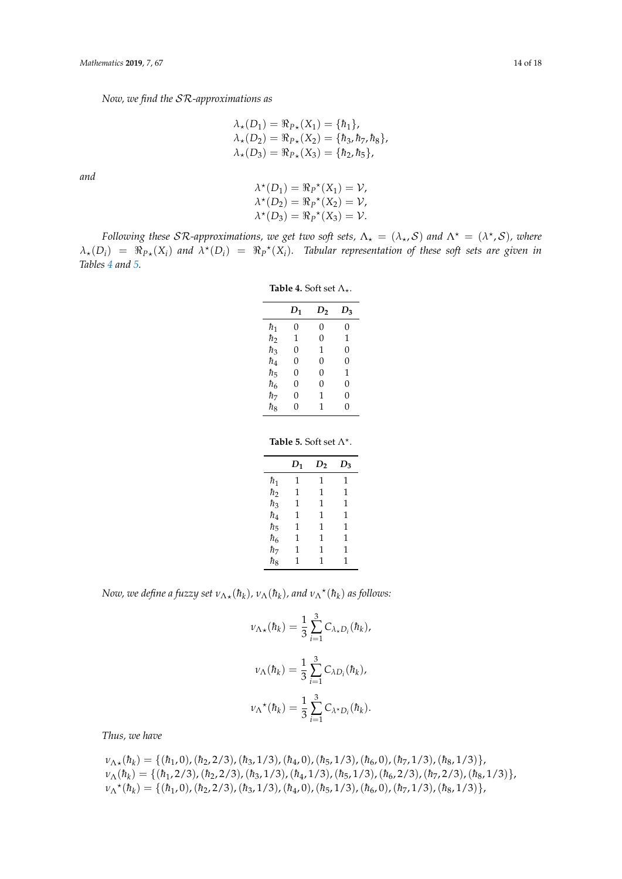*Now, we find the* SR*-approximations as*

$$
\lambda_{\star}(D_1) = \Re_{P_{\star}}(X_1) = \{\hbar_1\},\n\lambda_{\star}(D_2) = \Re_{P_{\star}}(X_2) = \{\hbar_3, \hbar_7, \hbar_8\},\n\lambda_{\star}(D_3) = \Re_{P_{\star}}(X_3) = \{\hbar_2, \hbar_5\},
$$

*and*

$$
\lambda^*(D_1) = \Re_P^*(X_1) = \mathcal{V},
$$
  
\n
$$
\lambda^*(D_2) = \Re_P^*(X_2) = \mathcal{V},
$$
  
\n
$$
\lambda^*(D_3) = \Re_P^*(X_3) = \mathcal{V}.
$$

<span id="page-13-0"></span>*Following these SR-approximations, we get two soft sets,*  $\Lambda_{\star} = (\lambda_{\star}, S)$  and  $\Lambda^{\star} = (\lambda^{\star}, S)$ , where  $\lambda_*(D_i) = \Re_{P*}(X_i)$  and  $\lambda^*(D_i) = \Re_P^*(X_i)$ . Tabular representation of these soft sets are given in *Tables [4](#page-13-0) and [5.](#page-13-1)*

**Table 4.** Soft set  $\Lambda_{\star}$ .

|           | $D_1$ | D <sub>2</sub> | $D_3$ |
|-----------|-------|----------------|-------|
| ħ1        | 0     | 0              | 0     |
| ħ         | 1     | 0              | 1     |
| ħз        | 0     | 1              | 0     |
| $\hbar_4$ | 0     | 0              | 0     |
| $\hbar_5$ | 0     | 0              | 1     |
| $\hbar_6$ | 0     | 0              | 0     |
| ħ7        | 0     | 1              | 0     |
| ħς        | 0     | 1              | 0     |
|           |       |                |       |

**Table 5.** Soft set  $\Lambda^*$ .

|           | $D_1$ | $D_2$ | $D_3$ |
|-----------|-------|-------|-------|
| ħ1        | 1     | 1     | 1     |
| $\hbar_2$ | 1     | 1     | 1     |
| $\hbar_3$ | 1     | 1     | 1     |
| $\hbar_4$ | 1     | 1     | 1     |
| $\hbar_5$ | 1     | 1     | 1     |
| $\hbar_6$ | 1     | 1     | 1     |
| $\hbar_7$ | 1     | 1     | 1     |
| $\hbar_8$ | 1     | 1     | 1     |

<span id="page-13-1"></span>*Now, we define a fuzzy set*  $v_{\Lambda \star}(\hbar_k)$ ,  $v_{\Lambda}(\hbar_k)$ , and  $v_{\Lambda}{}^{\star}(\hbar_k)$  as follows:

$$
\nu_{\Lambda\star}(\hbar_k) = \frac{1}{3} \sum_{i=1}^{3} C_{\lambda_{\star}D_i}(\hbar_k),
$$
  

$$
\nu_{\Lambda}(\hbar_k) = \frac{1}{3} \sum_{i=1}^{3} C_{\lambda D_i}(\hbar_k),
$$
  

$$
\nu_{\Lambda}{}^{\star}(\hbar_k) = \frac{1}{3} \sum_{i=1}^{3} C_{\lambda_{\star}D_i}(\hbar_k).
$$

*Thus, we have*

*ν*<sub>Λ</sub><sub>\*</sub>( $h_k$ ) = {( $h_1$ , 0),( $h_2$ , 2/3),( $h_3$ , 1/3),( $h_4$ , 0),( $h_5$ , 1/3),( $h_6$ , 0),( $h_7$ , 1/3),( $h_8$ , 1/3)}, *ν*<sub>Λ</sub>( $h_k$ ) = {( $h_1$ , 2/3),( $h_2$ , 2/3),( $h_3$ , 1/3),( $h_4$ , 1/3),( $h_5$ , 1/3),( $h_6$ , 2/3),( $h_7$ , 2/3),( $h_8$ , 1/3)}, *ν*<sub>Λ</sub><sup>\*</sup>( $\hbar$ <sub>k</sub>) = {( $\hbar$ <sub>1</sub>, 0),( $\hbar$ <sub>2</sub>, 2/3),( $\hbar$ <sub>3</sub>, 1/3),( $\hbar$ <sub>4</sub>, 0),( $\hbar$ <sub>5</sub>, 1/3),( $\hbar$ <sub>6</sub>, 0),( $\hbar$ <sub>7</sub>, 1/3),( $\hbar$ <sub>8</sub>, 1/3)},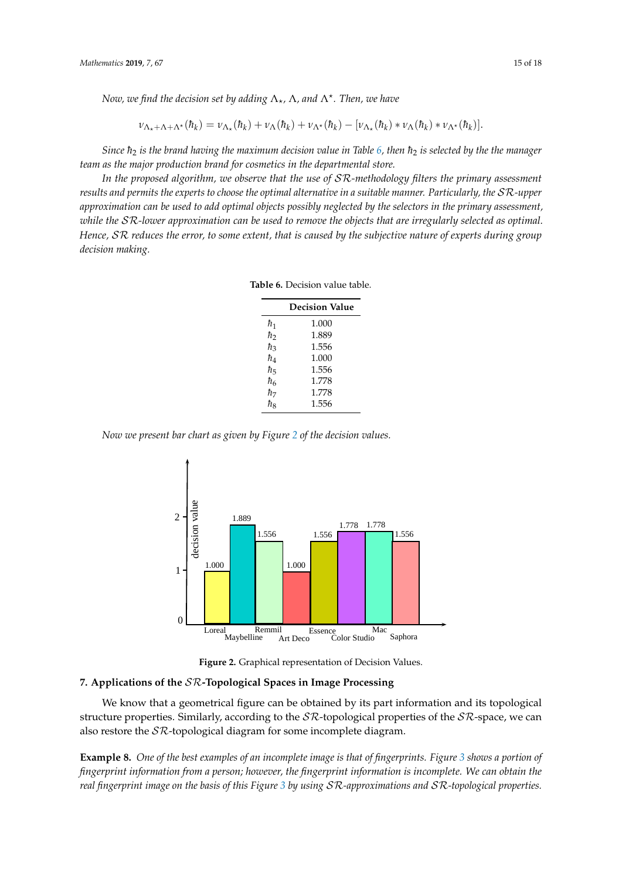*Now, we find the decision set by adding* Λ?*,* Λ*, and* Λ? *. Then, we have*

$$
\nu_{\Lambda_{\star}+\Lambda+\Lambda^{\star}}(\hbar_{k})=\nu_{\Lambda_{\star}}(\hbar_{k})+\nu_{\Lambda}(\hbar_{k})+\nu_{\Lambda^{\star}}(\hbar_{k})-[\nu_{\Lambda_{\star}}(\hbar_{k})*\nu_{\Lambda}(\hbar_{k})*\nu_{\Lambda^{\star}}(\hbar_{k})].
$$

*Since*  $h_2$  *is the brand having the maximum decision value in Table* [6,](#page-14-0) then  $h_2$  *is selected by the the manager team as the major production brand for cosmetics in the departmental store.*

<span id="page-14-0"></span>*In the proposed algorithm, we observe that the use of* SR*-methodology filters the primary assessment results and permits the experts to choose the optimal alternative in a suitable manner. Particularly, the* SR*-upper approximation can be used to add optimal objects possibly neglected by the selectors in the primary assessment, while the* SR*-lower approximation can be used to remove the objects that are irregularly selected as optimal. Hence,* SR *reduces the error, to some extent, that is caused by the subjective nature of experts during group decision making.*

**Table 6.** Decision value table.

|           | <b>Decision Value</b> |
|-----------|-----------------------|
| ħ1        | 1.000                 |
| ħ,        | 1.889                 |
| ħз        | 1.556                 |
| $\hbar_4$ | 1.000                 |
| ħ5        | 1.556                 |
| ħκ        | 1.778                 |
| $\hbar_7$ | 1.778                 |
| ħς        | 1.556                 |

<span id="page-14-1"></span>*Now we present bar chart as given by Figure [2](#page-14-1) of the decision values.*



**Figure 2.** Graphical representation of Decision Values.

# Since ~<sup>2</sup> is the brand having maximum decision value in table 6. So, ~<sup>2</sup> is selected by the the **7. Applications of the** SR**-Topological Spaces in Image Processing** managers team as a major production brand for cosmetics in the departmental store.

structure properties. Similarly, according to the  $\mathcal{SR}$ -topological properties of the  $\mathcal{SR}$ -space, we can also restore the  $\mathcal{SR}$ -topological diagram for some incomplete diagram. We know that a geometrical figure can be obtained by its part information and its topological

**Example 8.** One of the best examples of an incomplete image is that of fingerprints. Figure [3](#page-15-7) shows a portion of **Example 6.** One of the sest examples of an incomplete thage is that of fingerprints. I igure 3 shows a portion of<br>*fingerprint information from a person; however, the fingerprint information is incomplete. We can obtain t* or prim information from a person, newcocit, the fingerprim information to incomplete. The east country.<br>Il finographi image on the basis of this Figure 3 by using SR-approximations and SR-tonological properti by subjective nature of experts during group decision making. *real fingerprint image on the basis of this Figure [3](#page-15-7) by using* SR*-approximations and* SR*-topological properties.*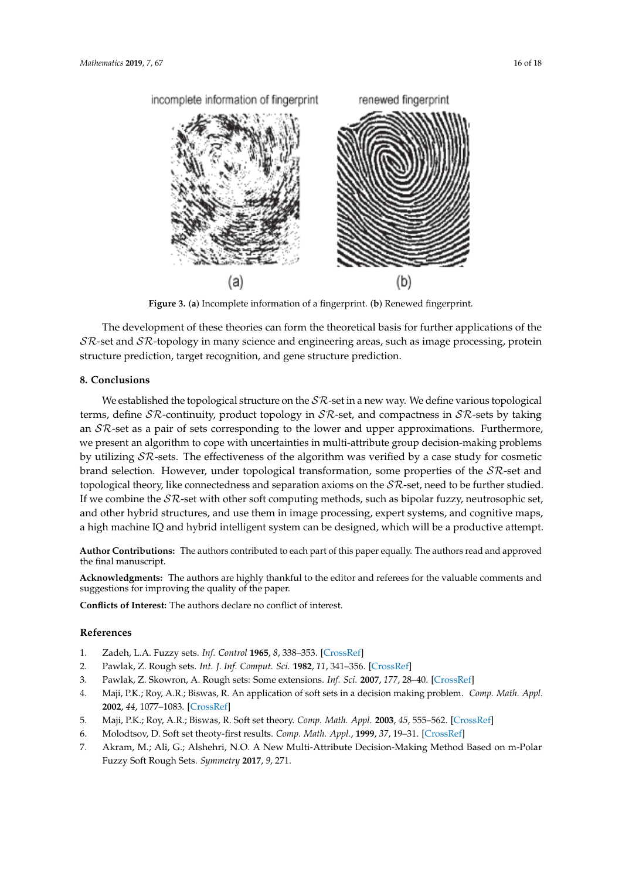<span id="page-15-7"></span>

**Figure 3.** (**a**) Incomplete information of a fingerprint. (**b**) Renewed fingerprint.

The development of these theories can form the theoretical basis for further applications of the  $S\mathcal{R}$ -set and  $S\mathcal{R}$ -topology in many science and engineering areas, such as image processing, protein structure prediction, target recognition, and gene structure prediction.

#### **8. Conclusions**

by utilizing  $S\mathcal{R}$ -sets. The effectiveness of the algorithm was verified by a case study for cosmetic<br>brand selection. However, under topological transformation, some properties of the  $S\mathcal{R}$ -set and topological theory, like connectedness and separation axioms on the  $S\mathcal{R}$ -set, need to be further studied.<br>If we combine the  $S\mathcal{R}$ -set with other soft computing methods, such as bipolar fuzzy, neutrosophic set, and other hybrid structures, and use them in mage processing, expert systems, and cognitive maps,<br>a high machine IQ and hybrid intelligent system can be designed, which will be a productive attempt. We established the topological structure on the  $S\mathcal{R}$ -set in a new way. We define various topological terms, define  $\mathcal{SR}$ -continuity, product topology in  $\mathcal{SR}$ -set, and compactness in  $\mathcal{SR}$ -sets by taking an  $S\mathcal{R}$ -set as a pair of sets corresponding to the lower and upper approximations. Furthermore, we present an algorithm to cope with uncertainties in multi-attribute group decision-making problems brand selection. However, under topological transformation, some properties of the  $S\mathcal{R}$ -set and topological theory, like connectedness and separation axioms on the  $S\mathcal{R}$ -set, need to be further studied. and other hybrid structures, and use them in image processing, expert systems, and cognitive maps,

**Author Contributions:** The authors contributed to each part of this paper equally. The authors read and approved<br>the final manuscript. the final manuscript.

Acknowledgments: The authors are highly thankful to the editor and referees for the valuable comments and suggestions for improving the quality of the paper. suggestions for improving the quality of the paper.

brand section of the conducts of conduct of the selection of the selection, some properties of  $\mathbf{R}$ -settings of  $\mathbf{R}$ **Conflicts of Interest:** The authors declare no conflict of interest.

# <span id="page-15-6"></span><span id="page-15-5"></span><span id="page-15-4"></span><span id="page-15-3"></span><span id="page-15-2"></span><span id="page-15-1"></span><span id="page-15-0"></span>**References**

- 1. Zadeh, L.A. Fuzzy sets. *Inf. Control* **1965**, *8*, 338–353. [CrossRef]
	- 2. Pawlak, Z. Rough sets. *Int. J. Inf. Comput. Sci.* **1982**, *11*, 341–356. [\[CrossRef\]](http://dx.doi.org/10.1007/BF01001956)
- 2. I awiak, Z. Skowron, A. Rough sets: Some extensions. *Inf. Sci.* 2007, 177, 28–40. [CrossRef]<br>3. Pawlak, Z. Skowron, A. Rough sets: Some extensions. *Inf. Sci.* 2007, 177, 28–40. [CrossRef]<br>4. Maii PK · Roy A R · Biswas
- $\frac{2002}{44}$ ,  $\frac{1077-1083}{8}$ . [CrossRef]<br> $\frac{1000}{8}$ ,  $\frac{1000}{8}$ ,  $\frac{10000}{8}$ ,  $\frac{10000}{8}$ ,  $\frac{10000}{8}$ ,  $\frac{10000}{8}$ ,  $\frac{10000}{8}$ ,  $\frac{100000}{8}$ ,  $\frac{100000}{8}$ ,  $\frac{1000000}{8}$ ,  $\frac{10000000000000000000$ 4. Maji, P.K.; Roy, A.R.; Biswas, R. An application of soft sets in a decision making problem. *Comp. Math. Appl.* **2002**, *44*, 1077–1083. [CrossRef]
	- 5. Maji, P.K.; Roy, A.R.; Biswas, R. Soft set theory. *Comp. Math. Appl.* **2003**, *45*, 555–562. [\[CrossRef\]](http://dx.doi.org/10.1016/S0898-1221(03)00016-6)
	- 6. Molodtsov, D. Soft set theoty-first results. *Comp. Math. Appl.*, **1999**, *37*, 19–31. [CrossRef]
- 6. Molodtsov, D. Soft set theoty-first results. *Comp. Math. Appl.,* **1999**, 37, 19–31. [CrossRef]<br>7. Akram, M.; Ali, G.; Alshehri, N.O. A New Multi-Attribute Decision-Making Method Based on m-Polar Fuzzy Soft Rough Sets. *Symmetry* **2017**, *9*, 271.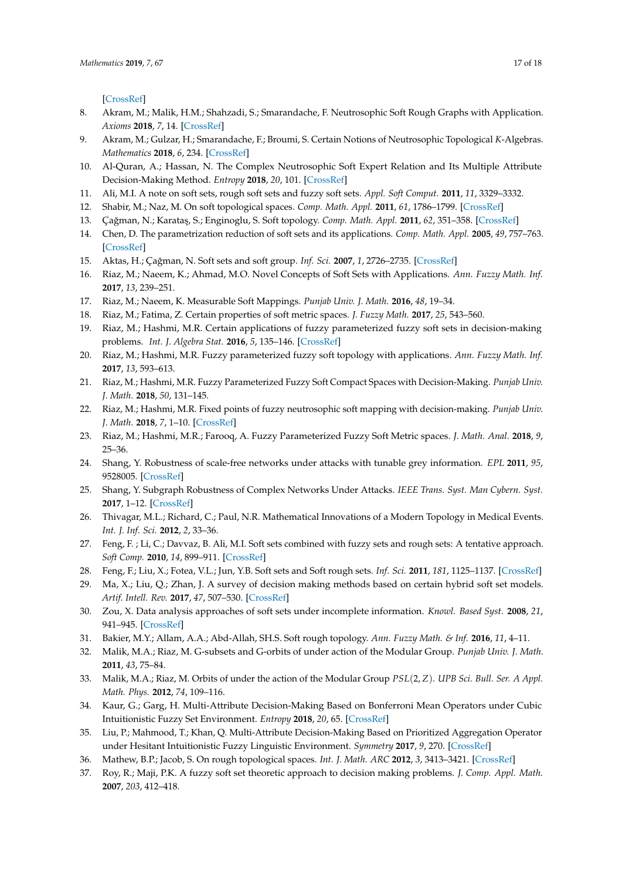[\[CrossRef\]](http://dx.doi.org/10.3390/sym9110271)

- 8. Akram, M.; Malik, H.M.; Shahzadi, S.; Smarandache, F. Neutrosophic Soft Rough Graphs with Application. *Axioms* **2018**, *7*, 14. [\[CrossRef\]](http://dx.doi.org/10.3390/axioms7010014)
- 9. Akram, M.; Gulzar, H.; Smarandache, F.; Broumi, S. Certain Notions of Neutrosophic Topological *K*-Algebras. *Mathematics* **2018**, *6*, 234. [\[CrossRef\]](http://dx.doi.org/10.3390/math6110234)
- 10. Al-Quran, A.; Hassan, N. The Complex Neutrosophic Soft Expert Relation and Its Multiple Attribute Decision-Making Method. *Entropy* **2018**, *20*, 101. [\[CrossRef\]](http://dx.doi.org/10.3390/e20020101)
- <span id="page-16-0"></span>11. Ali, M.I. A note on soft sets, rough soft sets and fuzzy soft sets. *Appl. Soft Comput.* **2011**, *11*, 3329–3332.
- <span id="page-16-1"></span>12. Shabir, M.; Naz, M. On soft topological spaces. *Comp. Math. Appl.* **2011**, *61*, 1786–1799. [\[CrossRef\]](http://dx.doi.org/10.1016/j.camwa.2011.02.006)
- <span id="page-16-2"></span>13. Çağman, N.; Karataş, S.; Enginoglu, S. Soft topology. *Comp. Math. Appl.* 2011, 62, 351-358. [\[CrossRef\]](http://dx.doi.org/10.1016/j.camwa.2011.05.016)
- <span id="page-16-3"></span>14. Chen, D. The parametrization reduction of soft sets and its applications. *Comp. Math. Appl.* **2005**, *49*, 757–763. [\[CrossRef\]](http://dx.doi.org/10.1016/j.camwa.2004.10.036)
- <span id="page-16-4"></span>15. Aktas, H.; Çağman, N. Soft sets and soft group. *Inf. Sci.* 2007, 1, 2726–2735. [\[CrossRef\]](http://dx.doi.org/10.1016/j.ins.2006.12.008)
- <span id="page-16-5"></span>16. Riaz, M.; Naeem, K.; Ahmad, M.O. Novel Concepts of Soft Sets with Applications. *Ann. Fuzzy Math. Inf.* **2017**, *13*, 239–251.
- 17. Riaz, M.; Naeem, K. Measurable Soft Mappings. *Punjab Univ. J. Math*. **2016**, *48*, 19–34.
- <span id="page-16-6"></span>18. Riaz, M.; Fatima, Z. Certain properties of soft metric spaces. *J. Fuzzy Math.* **2017**, *25*, 543–560.
- <span id="page-16-7"></span>19. Riaz, M.; Hashmi, M.R. Certain applications of fuzzy parameterized fuzzy soft sets in decision-making problems. *Int. J. Algebra Stat.* **2016**, *5*, 135–146. [\[CrossRef\]](http://dx.doi.org/10.20454/ijas.2016.1181)
- 20. Riaz, M.; Hashmi, M.R. Fuzzy parameterized fuzzy soft topology with applications. *Ann. Fuzzy Math. Inf.* **2017**, *13*, 593–613.
- 21. Riaz, M.; Hashmi, M.R. Fuzzy Parameterized Fuzzy Soft Compact Spaces with Decision-Making. *Punjab Univ. J. Math*. **2018**, *50*, 131–145.
- 22. Riaz, M.; Hashmi, M.R. Fixed points of fuzzy neutrosophic soft mapping with decision-making. *Punjab Univ. J. Math*. **2018**, *7*, 1–10. [\[CrossRef\]](http://dx.doi.org/10.1186/s13663-018-0632-5)
- <span id="page-16-8"></span>23. Riaz, M.; Hashmi, M.R.; Farooq, A. Fuzzy Parameterized Fuzzy Soft Metric spaces. *J. Math. Anal*. **2018**, *9*, 25–36.
- <span id="page-16-9"></span>24. Shang, Y. Robustness of scale-free networks under attacks with tunable grey information. *EPL* **2011**, *95*, 9528005. [\[CrossRef\]](http://dx.doi.org/10.1209/0295-5075/95/28005)
- <span id="page-16-10"></span>25. Shang, Y. Subgraph Robustness of Complex Networks Under Attacks. *IEEE Trans. Syst. Man Cybern. Syst.* **2017**, 1–12. [\[CrossRef\]](http://dx.doi.org/10.1109/TSMC.2017.2733545)
- <span id="page-16-11"></span>26. Thivagar, M.L.; Richard, C.; Paul, N.R. Mathematical Innovations of a Modern Topology in Medical Events. *Int. J. Inf. Sci.* **2012**, *2*, 33–36.
- <span id="page-16-12"></span>27. Feng, F. ; Li, C.; Davvaz, B. Ali, M.I. Soft sets combined with fuzzy sets and rough sets: A tentative approach. *Soft Comp.* **2010**, *14*, 899–911. [\[CrossRef\]](http://dx.doi.org/10.1007/s00500-009-0465-6)
- <span id="page-16-13"></span>28. Feng, F.; Liu, X.; Fotea, V.L.; Jun, Y.B. Soft sets and Soft rough sets. *Inf. Sci.* **2011**, *181*, 1125–1137. [\[CrossRef\]](http://dx.doi.org/10.1016/j.ins.2010.11.004)
- <span id="page-16-14"></span>29. Ma, X.; Liu, Q.; Zhan, J. A survey of decision making methods based on certain hybrid soft set models. *Artif. Intell. Rev.* **2017**, *47*, 507–530. [\[CrossRef\]](http://dx.doi.org/10.1007/s10462-016-9490-x)
- <span id="page-16-15"></span>30. Zou, X. Data analysis approaches of soft sets under incomplete information. *Knowl. Based Syst*. **2008**, *21*, 941–945. [\[CrossRef\]](http://dx.doi.org/10.1016/j.knosys.2008.04.004)
- <span id="page-16-17"></span><span id="page-16-16"></span>31. Bakier, M.Y.; Allam, A.A.; Abd-Allah, SH.S. Soft rough topology. *Ann. Fuzzy Math. & Inf.* **2016**, *11*, 4–11.
- 32. Malik, M.A.; Riaz, M. G-subsets and G-orbits of under action of the Modular Group. *Punjab Univ. J. Math*. **2011**, *43*, 75–84.
- <span id="page-16-18"></span>33. Malik, M.A.; Riaz, M. Orbits of under the action of the Modular Group *PSL*(2, *Z*). *UPB Sci. Bull. Ser. A Appl. Math. Phys.* **2012**, *74*, 109–116.
- <span id="page-16-19"></span>34. Kaur, G.; Garg, H. Multi-Attribute Decision-Making Based on Bonferroni Mean Operators under Cubic Intuitionistic Fuzzy Set Environment. *Entropy* **2018**, *20*, 65. [\[CrossRef\]](http://dx.doi.org/10.3390/e20010065)
- 35. Liu, P.; Mahmood, T.; Khan, Q. Multi-Attribute Decision-Making Based on Prioritized Aggregation Operator under Hesitant Intuitionistic Fuzzy Linguistic Environment. *Symmetry* **2017**, *9*, 270. [\[CrossRef\]](http://dx.doi.org/10.3390/sym9110270)
- 36. Mathew, B.P.; Jacob, S. On rough topological spaces. *Int. J. Math. ARC* **2012**, *3*, 3413–3421. [\[CrossRef\]](http://dx.doi.org/10.4018/IJRSDA.2016010106)
- 37. Roy, R.; Maji, P.K. A fuzzy soft set theoretic approach to decision making problems. *J. Comp. Appl. Math.* **2007**, *203*, 412–418.